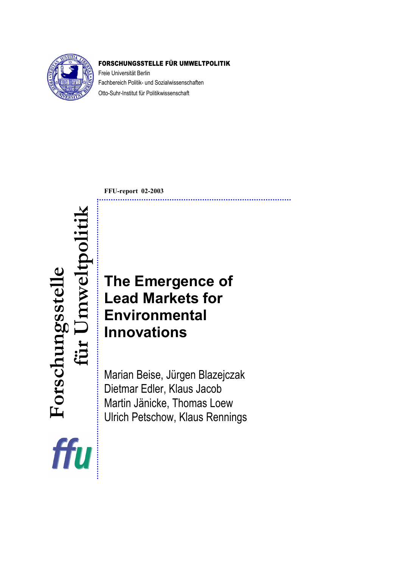

## FORSCHUNGSSTELLE FÜR UMWELTPOLITIK

Freie Universität Berlin Fachbereich Politik- und Sozialwissenschaften Otto-Suhr-Institut für Politikwissenschaft

**FFU-report 02-2003** 

Forschungsstell **Forschun** ffu

# **full political The Emergence of Lead Markets for <br>
<b>Full Political Markets for Environmental**<br> **Full Proposed Innovations Lead Markets for Environmental Innovations**

Marian Beise, Jürgen Blazejczak Dietmar Edler, Klaus Jacob Martin Jänicke, Thomas Loew Ulrich Petschow, Klaus Rennings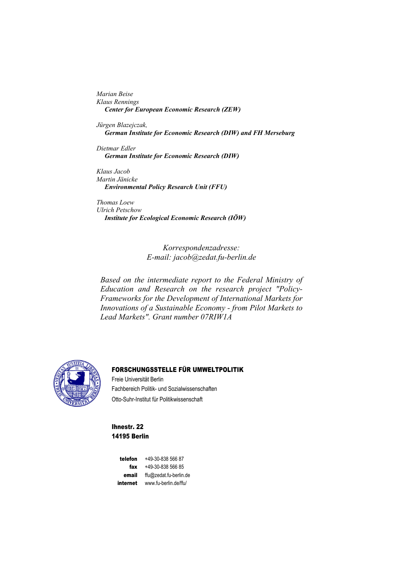*Marian Beise Klaus Rennings Center for European Economic Research (ZEW)*

*Jürgen Blazejczak, German Institute for Economic Research (DIW) and FH Merseburg*

*Dietmar Edler German Institute for Economic Research (DIW)*

*Klaus Jacob Martin Jänicke Environmental Policy Research Unit (FFU)*

*Thomas Loew Ulrich Petschow Institute for Ecological Economic Research (IÖW)*

> *Korrespondenzadresse: E-mail: jacob@zedat.fu-berlin.de*

*Based on the intermediate report to the Federal Ministry of Education and Research on the research project "Policy-Frameworks for the Development of International Markets for Innovations of a Sustainable Economy - from Pilot Markets to Lead Markets". Grant number 07RIW1A*



## FORSCHUNGSSTELLE FÜR UMWELTPOLITIK

Freie Universität Berlin Fachbereich Politik- und Sozialwissenschaften Otto-Suhr-Institut für Politikwissenschaft

Ihnestr. 22 14195 Berlin

| telefon  | +49-30-838 566 87      |
|----------|------------------------|
| fax      | +49-30-838 566 85      |
| email    | ffu@zedat.fu-berlin.de |
| internet | www.fu-berlin.de/ffu/  |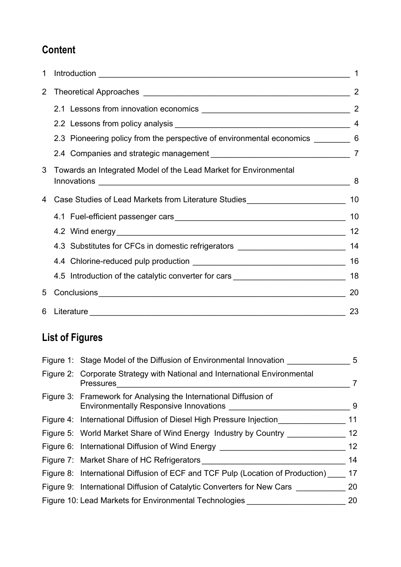## **Content**

| 1 |                                                                                    |                |
|---|------------------------------------------------------------------------------------|----------------|
| 2 |                                                                                    |                |
|   |                                                                                    | $\overline{2}$ |
|   |                                                                                    | $\overline{4}$ |
|   | 2.3 Pioneering policy from the perspective of environmental economics __________ 6 |                |
|   |                                                                                    |                |
| 3 | Towards an Integrated Model of the Lead Market for Environmental                   | 8              |
| 4 | Case Studies of Lead Markets from Literature Studies                               | 10             |
|   |                                                                                    | 10             |
|   |                                                                                    | 12             |
|   | 4.3 Substitutes for CFCs in domestic refrigerators _____________________________   | 14             |
|   |                                                                                    | 16             |
|   | 4.5 Introduction of the catalytic converter for cars ___________________________   | 18             |
| 5 |                                                                                    | 20             |
|   |                                                                                    | 23             |

# **List of Figures**

| Figure 1: Stage Model of the Diffusion of Environmental Innovation                                                   | 5  |
|----------------------------------------------------------------------------------------------------------------------|----|
| Figure 2: Corporate Strategy with National and International Environmental<br><b>Pressures</b>                       |    |
| Figure 3: Framework for Analysing the International Diffusion of<br>Environmentally Responsive Innovations _________ | 9  |
| Figure 4: International Diffusion of Diesel High Pressure Injection                                                  | 11 |
| Figure 5: World Market Share of Wind Energy Industry by Country                                                      | 12 |
| Figure 6: International Diffusion of Wind Energy                                                                     | 12 |
| Figure 7: Market Share of HC Refrigerators                                                                           | 14 |
| Figure 8: International Diffusion of ECF and TCF Pulp (Location of Production)                                       | 17 |
| Figure 9: International Diffusion of Catalytic Converters for New Cars                                               | 20 |
| Figure 10: Lead Markets for Environmental Technologies                                                               | 20 |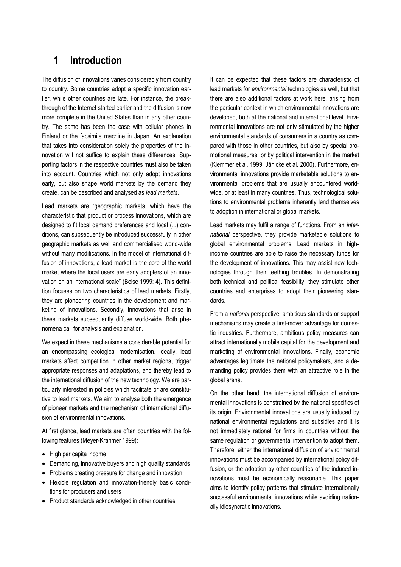## <span id="page-4-0"></span>**1 Introduction**

The diffusion of innovations varies considerably from country to country. Some countries adopt a specific innovation earlier, while other countries are late. For instance, the breakthrough of the Internet started earlier and the diffusion is now more complete in the United States than in any other country. The same has been the case with cellular phones in Finland or the facsimile machine in Japan. An explanation that takes into consideration solely the properties of the innovation will not suffice to explain these differences. Supporting factors in the respective countries must also be taken into account. Countries which not only adopt innovations early, but also shape world markets by the demand they create, can be described and analysed as *lead markets*.

Lead markets are "geographic markets, which have the characteristic that product or process innovations, which are designed to fit local demand preferences and local (...) conditions, can subsequently be introduced successfully in other geographic markets as well and commercialised world-wide without many modifications. In the model of international diffusion of innovations, a lead market is the core of the world market where the local users are early adopters of an innovation on an international scale" (Beise 1999: 4). This definition focuses on two characteristics of lead markets. Firstly, they are pioneering countries in the development and marketing of innovations. Secondly, innovations that arise in these markets subsequently diffuse world-wide. Both phenomena call for analysis and explanation.

We expect in these mechanisms a considerable potential for an encompassing ecological modernisation. Ideally, lead markets affect competition in other market regions, trigger appropriate responses and adaptations, and thereby lead to the international diffusion of the new technology. We are particularly interested in policies which facilitate or are constitutive to lead markets. We aim to analyse both the emergence of pioneer markets and the mechanism of international diffusion of environmental innovations.

At first glance, lead markets are often countries with the following features (Meyer-Krahmer 1999):

- High per capita income
- Demanding, innovative buyers and high quality standards
- Problems creating pressure for change and innovation
- Flexible regulation and innovation-friendly basic conditions for producers and users
- Product standards acknowledged in other countries

It can be expected that these factors are characteristic of lead markets for *environmental* technologies as well, but that there are also additional factors at work here, arising from the particular context in which environmental innovations are developed, both at the national and international level. Environmental innovations are not only stimulated by the higher environmental standards of consumers in a country as compared with those in other countries, but also by special promotional measures, or by political intervention in the market (Klemmer et al. 1999; Jänicke et al. 2000). Furthermore, environmental innovations provide marketable solutions to environmental problems that are usually encountered worldwide, or at least in many countries. Thus, technological solutions to environmental problems inherently lend themselves to adoption in international or global markets.

Lead markets may fulfil a range of functions. From an *international* perspective, they provide marketable solutions to global environmental problems. Lead markets in highincome countries are able to raise the necessary funds for the development of innovations. This may assist new technologies through their teething troubles. In demonstrating both technical and political feasibility, they stimulate other countries and enterprises to adopt their pioneering standards.

From a *national* perspective, ambitious standards or support mechanisms may create a first-mover advantage for domestic industries. Furthermore, ambitious policy measures can attract internationally mobile capital for the development and marketing of environmental innovations. Finally, economic advantages legitimate the national policymakers, and a demanding policy provides them with an attractive role in the global arena.

On the other hand, the international diffusion of environmental innovations is constrained by the national specifics of its origin. Environmental innovations are usually induced by national environmental regulations and subsidies and it is not immediately rational for firms in countries without the same regulation or governmental intervention to adopt them. Therefore, either the international diffusion of environmental innovations must be accompanied by international policy diffusion, or the adoption by other countries of the induced innovations must be economically reasonable. This paper aims to identify policy patterns that stimulate internationally successful environmental innovations while avoiding nationally idiosyncratic innovations.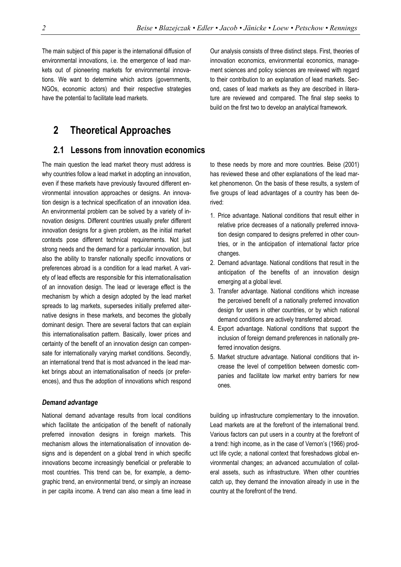<span id="page-5-0"></span>The main subject of this paper is the international diffusion of environmental innovations, i.e. the emergence of lead markets out of pioneering markets for environmental innovations. We want to determine which actors (governments, NGOs, economic actors) and their respective strategies have the potential to facilitate lead markets.

Our analysis consists of three distinct steps. First, theories of innovation economics, environmental economics, management sciences and policy sciences are reviewed with regard to their contribution to an explanation of lead markets. Second, cases of lead markets as they are described in literature are reviewed and compared. The final step seeks to build on the first two to develop an analytical framework.

## **2 Theoretical Approaches**

## <span id="page-5-1"></span>**2.1 Lessons from innovation economics**

The main question the lead market theory must address is why countries follow a lead market in adopting an innovation, even if these markets have previously favoured different environmental innovation approaches or designs. An innovation design is a technical specification of an innovation idea. An environmental problem can be solved by a variety of innovation designs. Different countries usually prefer different innovation designs for a given problem, as the initial market contexts pose different technical requirements. Not just strong needs and the demand for a particular innovation, but also the ability to transfer nationally specific innovations or preferences abroad is a condition for a lead market. A variety of lead effects are responsible for this internationalisation of an innovation design. The lead or leverage effect is the mechanism by which a design adopted by the lead market spreads to lag markets, supersedes initially preferred alternative designs in these markets, and becomes the globally dominant design. There are several factors that can explain this internationalisation pattern. Basically, lower prices and certainty of the benefit of an innovation design can compensate for internationally varying market conditions. Secondly, an international trend that is most advanced in the lead market brings about an internationalisation of needs (or preferences), and thus the adoption of innovations which respond

#### *Demand advantage*

National demand advantage results from local conditions which facilitate the anticipation of the benefit of nationally preferred innovation designs in foreign markets. This mechanism allows the internationalisation of innovation designs and is dependent on a global trend in which specific innovations become increasingly beneficial or preferable to most countries. This trend can be, for example, a demographic trend, an environmental trend, or simply an increase in per capita income. A trend can also mean a time lead in

to these needs by more and more countries. Beise (2001) has reviewed these and other explanations of the lead market phenomenon. On the basis of these results, a system of five groups of lead advantages of a country has been derived:

- 1. Price advantage. National conditions that result either in relative price decreases of a nationally preferred innovation design compared to designs preferred in other countries, or in the anticipation of international factor price changes.
- 2. Demand advantage. National conditions that result in the anticipation of the benefits of an innovation design emerging at a global level.
- 3. Transfer advantage. National conditions which increase the perceived benefit of a nationally preferred innovation design for users in other countries, or by which national demand conditions are actively transferred abroad.
- 4. Export advantage. National conditions that support the inclusion of foreign demand preferences in nationally preferred innovation designs.
- 5. Market structure advantage. National conditions that increase the level of competition between domestic companies and facilitate low market entry barriers for new ones.

building up infrastructure complementary to the innovation. Lead markets are at the forefront of the international trend. Various factors can put users in a country at the forefront of a trend: high income, as in the case of Vernon's (1966) product life cycle; a national context that foreshadows global environmental changes; an advanced accumulation of collateral assets, such as infrastructure. When other countries catch up, they demand the innovation already in use in the country at the forefront of the trend.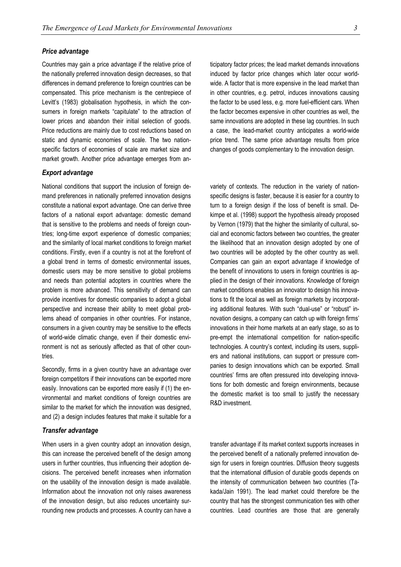#### *Price advantage*

Countries may gain a price advantage if the relative price of the nationally preferred innovation design decreases, so that differences in demand preference to foreign countries can be compensated. This price mechanism is the centrepiece of Levitt's (1983) globalisation hypothesis, in which the consumers in foreign markets "capitulate" to the attraction of lower prices and abandon their initial selection of goods. Price reductions are mainly due to cost reductions based on static and dynamic economies of scale. The two nationspecific factors of economies of scale are market size and market growth. Another price advantage emerges from an-

## *Export advantage*

National conditions that support the inclusion of foreign demand preferences in nationally preferred innovation designs constitute a national export advantage. One can derive three factors of a national export advantage: domestic demand that is sensitive to the problems and needs of foreign countries; long-time export experience of domestic companies; and the similarity of local market conditions to foreign market conditions. Firstly, even if a country is not at the forefront of a global trend in terms of domestic environmental issues, domestic users may be more sensitive to global problems and needs than potential adopters in countries where the problem is more advanced. This sensitivity of demand can provide incentives for domestic companies to adopt a global perspective and increase their ability to meet global problems ahead of companies in other countries. For instance, consumers in a given country may be sensitive to the effects of world-wide climatic change, even if their domestic environment is not as seriously affected as that of other countries.

Secondly, firms in a given country have an advantage over foreign competitors if their innovations can be exported more easily. Innovations can be exported more easily if (1) the environmental and market conditions of foreign countries are similar to the market for which the innovation was designed, and (2) a design includes features that make it suitable for a

### *Transfer advantage*

When users in a given country adopt an innovation design, this can increase the perceived benefit of the design among users in further countries, thus influencing their adoption decisions. The perceived benefit increases when information on the usability of the innovation design is made available. Information about the innovation not only raises awareness of the innovation design, but also reduces uncertainty surrounding new products and processes. A country can have a

ticipatory factor prices; the lead market demands innovations induced by factor price changes which later occur worldwide. A factor that is more expensive in the lead market than in other countries, e.g. petrol, induces innovations causing the factor to be used less, e.g. more fuel-efficient cars. When the factor becomes expensive in other countries as well, the same innovations are adopted in these lag countries. In such a case, the lead-market country anticipates a world-wide price trend. The same price advantage results from price changes of goods complementary to the innovation design.

variety of contexts. The reduction in the variety of nationspecific designs is faster, because it is easier for a country to turn to a foreign design if the loss of benefit is small. Dekimpe et al. (1998) support the hypothesis already proposed by Vernon (1979) that the higher the similarity of cultural, social and economic factors between two countries, the greater the likelihood that an innovation design adopted by one of two countries will be adopted by the other country as well. Companies can gain an export advantage if knowledge of the benefit of innovations to users in foreign countries is applied in the design of their innovations. Knowledge of foreign market conditions enables an innovator to design his innovations to fit the local as well as foreign markets by incorporating additional features. With such "dual-use" or "robust" innovation designs, a company can catch up with foreign firms' innovations in their home markets at an early stage, so as to pre-empt the international competition for nation-specific technologies. A country's context, including its users, suppliers and national institutions, can support or pressure companies to design innovations which can be exported. Small countries' firms are often pressured into developing innovations for both domestic and foreign environments, because the domestic market is too small to justify the necessary R&D investment.

transfer advantage if its market context supports increases in the perceived benefit of a nationally preferred innovation design for users in foreign countries. Diffusion theory suggests that the international diffusion of durable goods depends on the intensity of communication between two countries (Takada/Jain 1991). The lead market could therefore be the country that has the strongest communication ties with other countries. Lead countries are those that are generally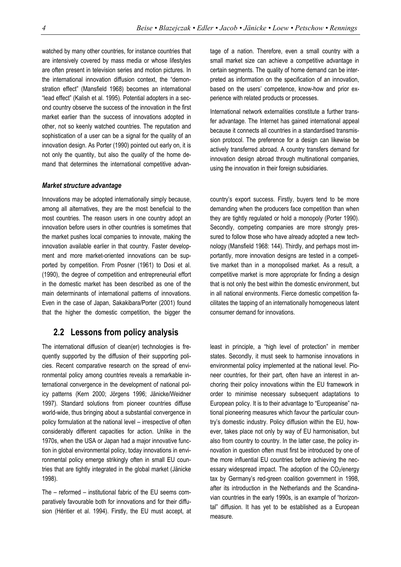<span id="page-7-0"></span>watched by many other countries, for instance countries that are intensively covered by mass media or whose lifestyles are often present in television series and motion pictures. In the international innovation diffusion context, the "demonstration effect" (Mansfield 1968) becomes an international "lead effect" (Kalish et al. 1995). Potential adopters in a second country observe the success of the innovation in the first market earlier than the success of innovations adopted in other, not so keenly watched countries. The reputation and sophistication of a user can be a signal for the quality of an innovation design. As Porter (1990) pointed out early on, it is not only the quantity, but also the *quality* of the home demand that determines the international competitive advan-

#### *Market structure advantage*

Innovations may be adopted internationally simply because, among all alternatives, they are the most beneficial to the most countries. The reason users in one country adopt an innovation before users in other countries is sometimes that the market pushes local companies to innovate, making the innovation available earlier in that country. Faster development and more market-oriented innovations can be supported by competition. From Posner (1961) to Dosi et al. (1990), the degree of competition and entrepreneurial effort in the domestic market has been described as one of the main determinants of international patterns of innovations. Even in the case of Japan, Sakakibara/Porter (2001) found that the higher the domestic competition, the bigger the

## **2.2 Lessons from policy analysis**

The international diffusion of clean(er) technologies is frequently supported by the diffusion of their supporting policies. Recent comparative research on the spread of environmental policy among countries reveals a remarkable international convergence in the development of national policy patterns (Kern 2000; Jörgens 1996; Jänicke/Weidner 1997). Standard solutions from pioneer countries diffuse world-wide, thus bringing about a substantial convergence in policy formulation at the national level – irrespective of often considerably different capacities for action. Unlike in the 1970s, when the USA or Japan had a major innovative function in global environmental policy, today innovations in environmental policy emerge strikingly often in small EU countries that are tightly integrated in the global market (Jänicke 1998).

The – reformed – institutional fabric of the EU seems comparatively favourable both for innovations and for their diffusion (Héritier et al. 1994). Firstly, the EU must accept, at tage of a nation. Therefore, even a small country with a small market size can achieve a competitive advantage in certain segments. The quality of home demand can be interpreted as information on the specification of an innovation, based on the users' competence, know-how and prior experience with related products or processes.

International network externalities constitute a further transfer advantage. The Internet has gained international appeal because it connects all countries in a standardised transmission protocol. The preference for a design can likewise be actively transferred abroad. A country transfers demand for innovation design abroad through multinational companies, using the innovation in their foreign subsidiaries.

country's export success. Firstly, buyers tend to be more demanding when the producers face competition than when they are tightly regulated or hold a monopoly (Porter 1990). Secondly, competing companies are more strongly pressured to follow those who have already adopted a new technology (Mansfield 1968: 144). Thirdly, and perhaps most importantly, more innovation designs are tested in a competitive market than in a monopolised market. As a result, a competitive market is more appropriate for finding a design that is not only the best within the domestic environment, but in all national environments. Fierce domestic competition facilitates the tapping of an internationally homogeneous latent consumer demand for innovations.

least in principle, a "high level of protection" in member states. Secondly, it must seek to harmonise innovations in environmental policy implemented at the national level. Pioneer countries, for their part, often have an interest in anchoring their policy innovations within the EU framework in order to minimise necessary subsequent adaptations to European policy. It is to their advantage to "Europeanise" national pioneering measures which favour the particular country's domestic industry. Policy diffusion within the EU, however, takes place not only by way of EU harmonisation, but also from country to country. In the latter case, the policy innovation in question often must first be introduced by one of the more influential EU countries before achieving the necessary widespread impact. The adoption of the CO2/energy tax by Germany's red-green coalition government in 1998, after its introduction in the Netherlands and the Scandinavian countries in the early 1990s, is an example of "horizontal" diffusion. It has yet to be established as a European measure.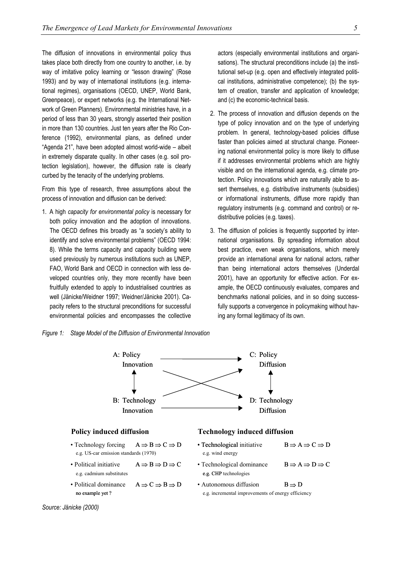<span id="page-8-0"></span>The diffusion of innovations in environmental policy thus takes place both directly from one country to another, i.e. by way of imitative policy learning or "lesson drawing" (Rose 1993) and by way of international institutions (e.g. international regimes), organisations (OECD, UNEP, World Bank, Greenpeace), or expert networks (e.g. the International Network of Green Planners). Environmental ministries have, in a period of less than 30 years, strongly asserted their position in more than 130 countries. Just ten years after the Rio Conference (1992), environmental plans, as defined under "Agenda 21", have been adopted almost world-wide – albeit in extremely disparate quality. In other cases (e.g. soil protection legislation), however, the diffusion rate is clearly curbed by the tenacity of the underlying problems.

From this type of research, three assumptions about the process of innovation and diffusion can be derived:

1. A high *capacity for environmental policy* is necessary for both policy innovation and the adoption of innovations. The OECD defines this broadly as "a society's ability to identify and solve environmental problems" (OECD 1994: 8). While the terms capacity and capacity building were used previously by numerous institutions such as UNEP, FAO, World Bank and OECD in connection with less developed countries only, they more recently have been fruitfully extended to apply to industrialised countries as well (Jänicke/Weidner 1997; Weidner/Jänicke 2001). Capacity refers to the structural preconditions for successful environmental policies and encompasses the collective

actors (especially environmental institutions and organisations). The structural preconditions include (a) the institutional set-up (e.g. open and effectively integrated political institutions, administrative competence); (b) the system of creation, transfer and application of knowledge; and (c) the economic-technical basis.

- 2. The process of innovation and diffusion depends on the type of policy innovation and on the type of underlying problem. In general, technology-based policies diffuse faster than policies aimed at structural change. Pioneering national environmental policy is more likely to diffuse if it addresses environmental problems which are highly visible and on the international agenda, e.g. climate protection. Policy innovations which are naturally able to assert themselves, e.g. distributive instruments (subsidies) or informational instruments, diffuse more rapidly than regulatory instruments (e.g. command and control) or redistributive policies (e.g. taxes).
- 3. The diffusion of policies is frequently supported by international organisations. By spreading information about best practice, even weak organisations, which merely provide an international arena for national actors, rather than being international actors themselves (Underdal 2001), have an opportunity for effective action. For example, the OECD continuously evaluates, compares and benchmarks national policies, and in so doing successfully supports a convergence in policymaking without having any formal legitimacy of its own.





*Source: Jänicke (2000)*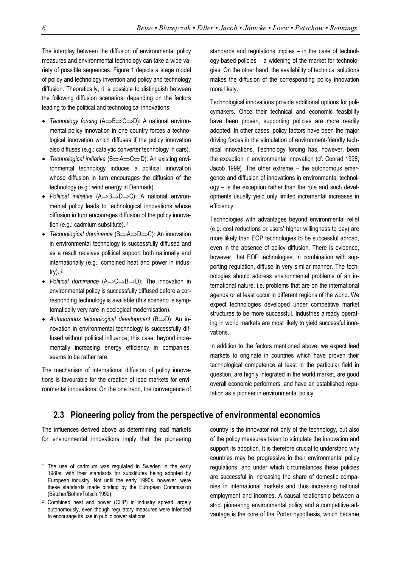<span id="page-9-0"></span>The interplay between the diffusion of environmental policy measures and environmental technology can take a wide variety of possible sequences. Figure 1 depicts a stage model of policy and technology invention and policy and technology diffusion. Theoretically, it is possible to distinguish between the following diffusion scenarios, depending on the factors leading to the political and technological innovations:

- *Technology forcing* (A⇒B⇒C⇒D): A national environmental policy innovation in one country forces a technological innovation which diffuses if the policy innovation also diffuses (e.g.: catalytic converter technology in cars).
- *Technological initiative* (B⇒A⇒C⇒D): An existing environmental technology induces a political innovation whose diffusion in turn encourages the diffusion of the technology (e.g.: wind energy in Denmark).
- *Political initiative* (A⇒B⇒D⇒C): A national environmental policy leads to technological innovations whose diffusion in turn encourages diffusion of the policy innovation (e.g.: cadmium substitute). 1
- *Technological dominance* (B⇒A⇒D⇒C): An innovation in environmental technology is successfully diffused and as a result receives political support both nationally and internationally (e.g.: combined heat and power in indus $try)$ .  $2$
- *Political dominance* (A⇒C⇒B⇒D): The innovation in environmental policy is successfully diffused before a corresponding technology is available (this scenario is symptomatically very rare in ecological modernisation).
- *Autonomous technological development* (B⇒D): An innovation in environmental technology is successfully diffused without political influence; this case, beyond incrementally increasing energy efficiency in companies, seems to be rather rare.

The mechanism of international diffusion of policy innovations is favourable for the creation of lead markets for environmental innovations. On the one hand, the convergence of standards and regulations implies – in the case of technology-based policies – a widening of the market for technologies. On the other hand, the availability of technical solutions makes the diffusion of the corresponding policy innovation more likely.

Technological innovations provide additional options for policymakers. Once their technical and economic feasibility have been proven, supporting policies are more readily adopted. In other cases, policy factors have been the major driving forces in the stimulation of environment-friendly technical innovations. Technology forcing has, however, been the exception in environmental innovation (cf. Conrad 1998; Jacob 1999). The other extreme – the autonomous emergence and diffusion of innovations in environmental technology – is the exception rather than the rule and such developments usually yield only limited incremental increases in efficiency.

Technologies with advantages beyond environmental relief (e.g. cost reductions or users' higher willingness to pay) are more likely than EOP technologies to be successful abroad, even in the absence of policy diffusion. There is evidence, however, that EOP technologies, in combination with supporting regulation, diffuse in very similar manner. The technologies should address environmental problems of an international nature, i.e. problems that are on the international agenda or at least occur in different regions of the world. We expect technologies developed under competitive market structures to be more successful. Industries already operating in world markets are most likely to yield successful innovations.

In addition to the factors mentioned above, we expect lead markets to originate in countries which have proven their technological competence at least in the particular field in question, are highly integrated in the world market, are good overall economic performers, and have an established reputation as a pioneer in environmental policy.

## **2.3 Pioneering policy from the perspective of environmental economics**

[Th](#page-9-1)e influences derived above as determining lead markets for environmental innovations imply that the pioneering

 $\overline{a}$ 

country is the innovator not only of the technology, but also of the policy measures taken to stimulate the innovation and support its adoption. It is therefore crucial to understand why countries may be progressive in their environmental policy regulations, and under which circumstances these policies are successful in increasing the share of domestic companies in international markets and thus increasing national employment and incomes. A causal relationship between a strict pioneering environmental policy and a competitive advantage is the core of the Porter hypothesis, which became

<span id="page-9-1"></span><sup>&</sup>lt;sup>1</sup> The use of cadmium was regulated in Sweden in the early 1980s, with their standards for substitutes being adopted by European industry. Not until the early 1990s, however, were these standards made binding by the European Commission (Bätcher/Böhm/Tötsch 1992).

<span id="page-9-2"></span><sup>2</sup> Combined heat and power (CHP) in industry spread largely autonomously, even though regulatory measures were intended to encourage its use in public power stations.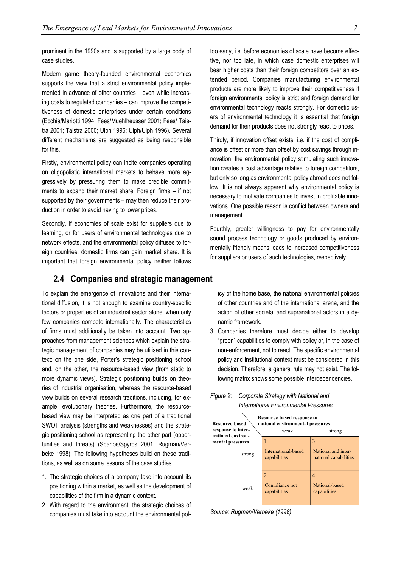<span id="page-10-0"></span>prominent in the 1990s and is supported by a large body of case studies.

Modern game theory-founded environmental economics supports the view that a strict environmental policy implemented in advance of other countries – even while increasing costs to regulated companies – can improve the competitiveness of domestic enterprises under certain conditions (Ecchia/Mariotti 1994; Fees/Muehlheusser 2001; Fees/ Taistra 2001; Taistra 2000; Ulph 1996; Ulph/Ulph 1996). Several different mechanisms are suggested as being responsible for this.

Firstly, environmental policy can incite companies operating on oligopolistic international markets to behave more aggressively by pressuring them to make credible commitments to expand their market share. Foreign firms – if not supported by their governments – may then reduce their production in order to avoid having to lower prices.

Secondly, if economies of scale exist for suppliers due to learning, or for users of environmental technologies due to network effects, and the environmental policy diffuses to foreign countries, domestic firms can gain market share. It is important that foreign environmental policy neither follows too early, i.e. before economies of scale have become effective, nor too late, in which case domestic enterprises will bear higher costs than their foreign competitors over an extended period. Companies manufacturing environmental products are more likely to improve their competitiveness if foreign environmental policy is strict and foreign demand for environmental technology reacts strongly. For domestic users of environmental technology it is essential that foreign demand for their products does not strongly react to prices.

Thirdly, if innovation offset exists, i.e. if the cost of compliance is offset or more than offset by cost savings through innovation, the environmental policy stimulating such innovation creates a cost advantage relative to foreign competitors, but only so long as environmental policy abroad does not follow. It is not always apparent why environmental policy is necessary to motivate companies to invest in profitable innovations. One possible reason is conflict between owners and management.

Fourthly, greater willingness to pay for environmentally sound process technology or goods produced by environmentally friendly means leads to increased competitiveness for suppliers or users of such technologies, respectively.

## **2.4 Companies and strategic management**

To explain the emergence of innovations and their international diffusion, it is not enough to examine country-specific factors or properties of an industrial sector alone, when only few companies compete internationally. The characteristics of firms must additionally be taken into account. Two approaches from management sciences which explain the strategic management of companies may be utilised in this context: on the one side, Porter's strategic positioning school and, on the other, the resource-based view (from static to more dynamic views). Strategic positioning builds on theories of industrial organisation, whereas the resource-based view builds on several research traditions, including, for example, evolutionary theories. Furthermore, the resourcebased view may be interpreted as one part of a traditional SWOT analysis (strengths and weaknesses) and the strategic positioning school as representing the other part (opportunities and threats) (Spanos/Spyros 2001; Rugman/Verbeke 1998). The following hypotheses build on these traditions, as well as on some lessons of the case studies.

- 1. The strategic choices of a company take into account its positioning within a market, as well as the development of capabilities of the firm in a dynamic context.
- 2. With regard to the environment, the strategic choices of companies must take into account the environmental pol-

icy of the home base, the national environmental policies of other countries and of the international arena, and the action of other societal and supranational actors in a dynamic framework.

3. Companies therefore must decide either to develop "green" capabilities to comply with policy or, in the case of non-enforcement, not to react. The specific environmental policy and institutional context must be considered in this decision. Therefore, a general rule may not exist. The following matrix shows some possible interdependencies.

## *Figure 2: Corporate Strategy with National and International Environmental Pressures*



*Source: Rugman/Verbeke (1998).*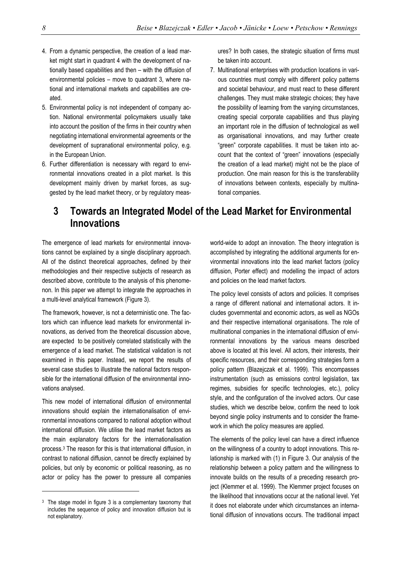- <span id="page-11-0"></span>4. From a dynamic perspective, the creation of a lead market might start in quadrant 4 with the development of nationally based capabilities and then – with the diffusion of environmental policies – move to quadrant 3, where national and international markets and capabilities are created.
- 5. Environmental policy is not independent of company action. National environmental policymakers usually take into account the position of the firms in their country when negotiating international environmental agreements or the development of supranational environmental policy, e.g. in the European Union.
- 6. Further differentiation is necessary with regard to environmental innovations created in a pilot market. Is this development mainly driven by market forces, as suggested by the lead market theory, or by regulatory meas-

ures? In both cases, the strategic situation of firms must be taken into account.

7. Multinational enterprises with production locations in various countries must comply with different policy patterns and societal behaviour, and must react to these different challenges. They must make strategic choices; they have the possibility of learning from the varying circumstances, creating special corporate capabilities and thus playing an important role in the diffusion of technological as well as organisational innovations, and may further create "green" corporate capabilities. It must be taken into account that the context of "green" innovations (especially the creation of a lead market) might not be the place of production. One main reason for this is the transferability of innovations between contexts, especially by multinational companies.

## **3 Towards an Integrated Model of the Lead Market for Environmental Innovations**

The emergence of lead markets for environmental innovations cannot be explained by a single disciplinary approach. All of the distinct theoretical approaches, defined by their methodologies and their respective subjects of research as described above, contribute to the analysis of this phenomenon. In this paper we attempt to integrate the approaches in a multi-level analytical framework (Figure 3).

The framework, however, is not a deterministic one. The factors which can influence lead markets for environmental innovations, as derived from the theoretical discussion above, are expected to be positively correlated statistically with the emergence of a lead market. The statistical validation is not examined in this paper. Instead, we report the results of several case studies to illustrate the national factors responsible for the international diffusion of the environmental innovations analysed.

This new model of international diffusion of environmental innovations should explain the internationalisation of environmental innovations compared to national adoption without international diffusion. We utilise the lead market factors as the main explanatory factors for the internationalisation process[.3](#page-11-1) The reason for this is that international diffusion, in contrast to national diffusion, cannot be directly explained by policies, but only by economic or political reasoning, as no actor or policy has the power to pressure all companies

 $\overline{a}$ 

world-wide to adopt an innovation. The theory integration is accomplished by integrating the additional arguments for environmental innovations into the lead market factors (policy diffusion, Porter effect) and modelling the impact of actors and policies on the lead market factors.

The policy level consists of actors and policies. It comprises a range of different national and international actors. It includes governmental and economic actors, as well as NGOs and their respective international organisations. The role of multinational companies in the international diffusion of environmental innovations by the various means described above is located at this level. All actors, their interests, their specific resources, and their corresponding strategies form a policy pattern (Blazejczak et al. 1999). This encompasses instrumentation (such as emissions control legislation, tax regimes, subsidies for specific technologies, etc.), policy style, and the configuration of the involved actors. Our case studies, which we describe below, confirm the need to look beyond single policy instruments and to consider the framework in which the policy measures are applied.

The elements of the policy level can have a direct influence on the willingness of a country to adopt innovations. This relationship is marked with (1) in Figure 3. Our analysis of the relationship between a policy pattern and the willingness to innovate builds on the results of a preceding research project (Klemmer et al. 1999). The Klemmer project focuses on the likelihood that innovations occur at the national level. Yet it does not elaborate under which circumstances an international diffusion of innovations occurs. The traditional impact

<span id="page-11-1"></span><sup>&</sup>lt;sup>3</sup> The stage model in figure 3 is a complementary taxonomy that includes the sequence of policy and innovation diffusion but is not explanatory.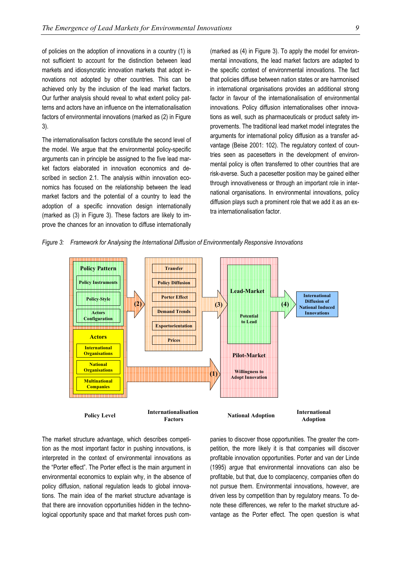<span id="page-12-0"></span>of policies on the adoption of innovations in a country (1) is not sufficient to account for the distinction between lead markets and idiosyncratic innovation markets that adopt innovations not adopted by other countries. This can be achieved only by the inclusion of the lead market factors. Our further analysis should reveal to what extent policy patterns and actors have an influence on the internationalisation factors of environmental innovations (marked as (2) in Figure 3).

The internationalisation factors constitute the second level of the model. We argue that the environmental policy-specific arguments can in principle be assigned to the five lead market factors elaborated in innovation economics and described in section [2.1.](#page-5-1) The analysis within innovation economics has focused on the relationship between the lead market factors and the potential of a country to lead the adoption of a specific innovation design internationally (marked as (3) in Figure 3). These factors are likely to improve the chances for an innovation to diffuse internationally

(marked as (4) in Figure 3). To apply the model for environmental innovations, the lead market factors are adapted to the specific context of environmental innovations. The fact that policies diffuse between nation states or are harmonised in international organisations provides an additional strong factor in favour of the internationalisation of environmental innovations. Policy diffusion internationalises other innovations as well, such as pharmaceuticals or product safety improvements. The traditional lead market model integrates the arguments for international policy diffusion as a transfer advantage (Beise 2001: 102). The regulatory context of countries seen as pacesetters in the development of environmental policy is often transferred to other countries that are risk-averse. Such a pacesetter position may be gained either through innovativeness or through an important role in international organisations. In environmental innovations, policy diffusion plays such a prominent role that we add it as an extra internationalisation factor.

*Figure 3: Framework for Analysing the International Diffusion of Environmentally Responsive Innovations* 



The market structure advantage, which describes competition as the most important factor in pushing innovations, is interpreted in the context of environmental innovations as the "Porter effect". The Porter effect is the main argument in environmental economics to explain why, in the absence of policy diffusion, national regulation leads to global innovations. The main idea of the market structure advantage is that there are innovation opportunities hidden in the technological opportunity space and that market forces push companies to discover those opportunities. The greater the competition, the more likely it is that companies will discover profitable innovation opportunities. Porter and van der Linde (1995) argue that environmental innovations can also be profitable, but that, due to complacency, companies often do not pursue them. Environmental innovations, however, are driven less by competition than by regulatory means. To denote these differences, we refer to the market structure advantage as the Porter effect. The open question is what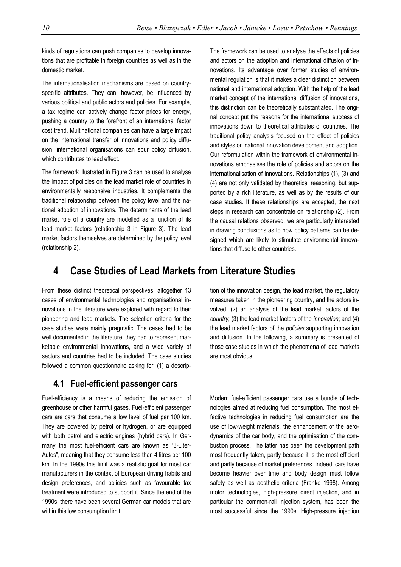<span id="page-13-0"></span>kinds of regulations can push companies to develop innovations that are profitable in foreign countries as well as in the domestic market.

The internationalisation mechanisms are based on countryspecific attributes. They can, however, be influenced by various political and public actors and policies. For example, a tax regime can actively change factor prices for energy, pushing a country to the forefront of an international factor cost trend. Multinational companies can have a large impact on the international transfer of innovations and policy diffusion; international organisations can spur policy diffusion, which contributes to lead effect.

The framework illustrated in Figure 3 can be used to analyse the impact of policies on the lead market role of countries in environmentally responsive industries. It complements the traditional relationship between the policy level and the national adoption of innovations. The determinants of the lead market role of a country are modelled as a function of its lead market factors (relationship 3 in Figure 3). The lead market factors themselves are determined by the policy level (relationship 2).

The framework can be used to analyse the effects of policies and actors on the adoption and international diffusion of innovations. Its advantage over former studies of environmental regulation is that it makes a clear distinction between national and international adoption. With the help of the lead market concept of the international diffusion of innovations, this distinction can be theoretically substantiated. The original concept put the reasons for the international success of innovations down to theoretical attributes of countries. The traditional policy analysis focused on the effect of policies and styles on national innovation development and adoption. Our reformulation within the framework of environmental innovations emphasises the role of policies and actors on the internationalisation of innovations. Relationships (1), (3) and (4) are not only validated by theoretical reasoning, but supported by a rich literature, as well as by the results of our case studies. If these relationships are accepted, the next steps in research can concentrate on relationship (2). From the causal relations observed, we are particularly interested in drawing conclusions as to how policy patterns can be designed which are likely to stimulate environmental innovations that diffuse to other countries.

## **4 Case Studies of Lead Markets from Literature Studies**

From these distinct theoretical perspectives, altogether 13 cases of environmental technologies and organisational innovations in the literature were explored with regard to their pioneering and lead markets. The selection criteria for the case studies were mainly pragmatic. The cases had to be well documented in the literature, they had to represent marketable environmental innovations, and a wide variety of sectors and countries had to be included. The case studies followed a common questionnaire asking for: (1) a descrip-

## **4.1 Fuel-efficient passenger cars**

Fuel-efficiency is a means of reducing the emission of greenhouse or other harmful gases. Fuel-efficient passenger cars are cars that consume a low level of fuel per 100 km. They are powered by petrol or hydrogen, or are equipped with both petrol and electric engines (hybrid cars). In Germany the most fuel-efficient cars are known as "3-Liter-Autos", meaning that they consume less than 4 litres per 100 km. In the 1990s this limit was a realistic goal for most car manufacturers in the context of European driving habits and design preferences, and policies such as favourable tax treatment were introduced to support it. Since the end of the 1990s, there have been several German car models that are within this low consumption limit.

tion of the innovation design, the lead market, the regulatory measures taken in the pioneering country, and the actors involved; (2) an analysis of the lead market factors of the *country*; (3) the lead market factors of the *innovation*; and (4) the lead market factors of the *policies* supporting innovation and diffusion. In the following, a summary is presented of those case studies in which the phenomena of lead markets are most obvious.

Modern fuel-efficient passenger cars use a bundle of technologies aimed at reducing fuel consumption. The most effective technologies in reducing fuel consumption are the use of low-weight materials, the enhancement of the aerodynamics of the car body, and the optimisation of the combustion process. The latter has been the development path most frequently taken, partly because it is the most efficient and partly because of market preferences. Indeed, cars have become heavier over time and body design must follow safety as well as aesthetic criteria (Franke 1998). Among motor technologies, high-pressure direct injection, and in particular the common-rail injection system, has been the most successful since the 1990s. High-pressure injection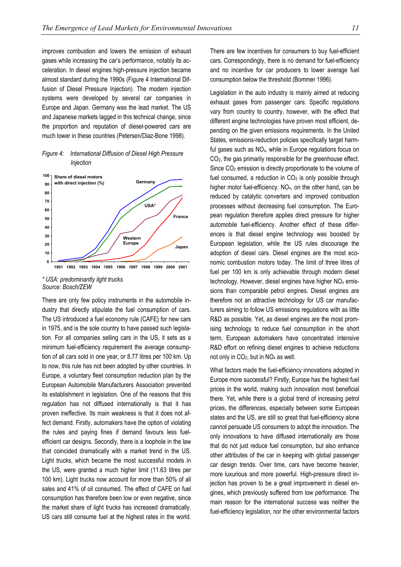<span id="page-14-0"></span>improves combustion and lowers the emission of exhaust gases while increasing the car's performance, notably its acceleration. In diesel engines high-pressure injection became almost standard during the 1990s (Figure 4 International Diffusion of Diesel Pressure Injection). The modern injection systems were developed by several car companies in Europe and Japan. Germany was the lead market. The US and Japanese markets lagged in this technical change, since the proportion and reputation of diesel-powered cars are much lower in these countries (Petersen/Diaz-Bone 1998).

### *Figure 4: International Diffusion of Diesel High Pressure Injection*



#### *\* USA: predominantly light trucks Source: Bosch/ZEW*

There are only few policy instruments in the automobile industry that directly stipulate the fuel consumption of cars. The US introduced a fuel economy rule (CAFE) for new cars in 1975, and is the sole country to have passed such legislation. For all companies selling cars in the US, it sets as a minimum fuel-efficiency requirement the average consumption of all cars sold in one year, or 8.77 litres per 100 km. Up to now, this rule has not been adopted by other countries. In Europe, a voluntary fleet consumption reduction plan by the European Automobile Manufacturers Association prevented its establishment in legislation. One of the reasons that this regulation has not diffused internationally is that it has proven ineffective. Its main weakness is that it does not affect demand. Firstly, automakers have the option of violating the rules and paying fines if demand favours less fuelefficient car designs. Secondly, there is a loophole in the law that coincided dramatically with a market trend in the US. Light trucks, which became the most successful models in the US, were granted a much higher limit (11.63 litres per 100 km). Light trucks now account for more than 50% of all sales and 41% of oil consumed. The effect of CAFE on fuel consumption has therefore been low or even negative, since the market share of light trucks has increased dramatically. US cars still consume fuel at the highest rates in the world.

There are few incentives for consumers to buy fuel-efficient cars. Correspondingly, there is no demand for fuel-efficiency and no incentive for car producers to lower average fuel consumption below the threshold (Bommer 1996).

Legislation in the auto industry is mainly aimed at reducing exhaust gases from passenger cars. Specific regulations vary from country to country, however, with the effect that different engine technologies have proven most efficient, depending on the given emissions requirements. In the United States, emissions-reduction policies specifically target harmful gases such as  $NO<sub>x</sub>$ , while in Europe regulations focus on CO<sub>2</sub>, the gas primarily responsible for the greenhouse effect. Since CO<sub>2</sub> emission is directly proportionate to the volume of fuel consumed, a reduction in  $CO<sub>2</sub>$  is only possible through higher motor fuel-efficiency. NO<sub>x</sub>, on the other hand, can be reduced by catalytic converters and improved combustion processes without decreasing fuel consumption. The European regulation therefore applies direct pressure for higher automobile fuel-efficiency. Another effect of these differences is that diesel engine technology was boosted by European legislation, while the US rules discourage the adoption of diesel cars. Diesel engines are the most economic combustion motors today. The limit of three litres of fuel per 100 km is only achievable through modern diesel technology. However, diesel engines have higher  $NO<sub>x</sub>$  emissions than comparable petrol engines. Diesel engines are therefore not an attractive technology for US car manufacturers aiming to follow US emissions regulations with as little R&D as possible. Yet, as diesel engines are the most promising technology to reduce fuel consumption in the short term, European automakers have concentrated intensive R&D effort on refining diesel engines to achieve reductions not only in CO2, but in NOx as well.

What factors made the fuel-efficiency innovations adopted in Europe more successful? Firstly, Europe has the highest fuel prices in the world, making such innovation most beneficial there. Yet, while there is a global trend of increasing petrol prices, the differences, especially between some European states and the US, are still so great that fuel-efficiency alone cannot persuade US consumers to adopt the innovation. The only innovations to have diffused internationally are those that do not just reduce fuel consumption, but also enhance other attributes of the car in keeping with global passenger car design trends. Over time, cars have become heavier, more luxurious and more powerful. High-pressure direct injection has proven to be a great improvement in diesel engines, which previously suffered from low performance. The main reason for the international success was neither the fuel-efficiency legislation, nor the other environmental factors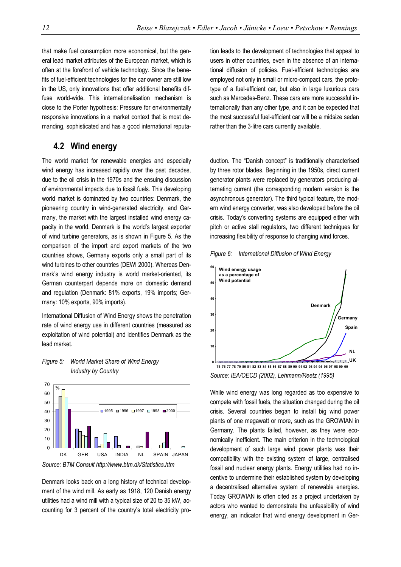<span id="page-15-0"></span>that make fuel consumption more economical, but the general lead market attributes of the European market, which is often at the forefront of vehicle technology. Since the benefits of fuel-efficient technologies for the car owner are still low in the US, only innovations that offer additional benefits diffuse world-wide. This internationalisation mechanism is close to the Porter hypothesis: Pressure for environmentally responsive innovations in a market context that is most demanding, sophisticated and has a good international reputa-

## **4.2 Wind energy**

The world market for renewable energies and especially wind energy has increased rapidly over the past decades, due to the oil crisis in the 1970s and the ensuing discussion of environmental impacts due to fossil fuels. This developing world market is dominated by two countries: Denmark, the pioneering country in wind-generated electricity, and Germany, the market with the largest installed wind energy capacity in the world. Denmark is the world's largest exporter of wind turbine generators, as is shown in Figure 5. As the comparison of the import and export markets of the two countries shows, Germany exports only a small part of its wind turbines to other countries (DEWI 2000). Whereas Denmark's wind energy industry is world market-oriented, its German counterpart depends more on domestic demand and regulation (Denmark: 81% exports, 19% imports; Germany: 10% exports, 90% imports).

International Diffusion of Wind Energy shows the penetration rate of wind energy use in different countries (measured as exploitation of wind potential) and identifies Denmark as the lead market.





*Source: BTM Consult http://www.btm.dk/Statistics.htm* 

Denmark looks back on a long history of technical development of the wind mill. As early as 1918, 120 Danish energy utilities had a wind mill with a typical size of 20 to 35 kW, accounting for 3 percent of the country's total electricity protion leads to the development of technologies that appeal to users in other countries, even in the absence of an international diffusion of policies. Fuel-efficient technologies are employed not only in small or micro-compact cars, the prototype of a fuel-efficient car, but also in large luxurious cars such as Mercedes-Benz. These cars are more successful internationally than any other type, and it can be expected that the most successful fuel-efficient car will be a midsize sedan rather than the 3-litre cars currently available.

duction. The "Danish concept" is traditionally characterised by three rotor blades. Beginning in the 1950s, direct current generator plants were replaced by generators producing alternating current (the corresponding modern version is the asynchronous generator). The third typical feature, the modern wind energy converter, was also developed before the oil crisis. Today's converting systems are equipped either with pitch or active stall regulators, two different techniques for increasing flexibility of response to changing wind forces.

*Figure 6: International Diffusion of Wind Energy* 



*Source: IEA/OECD (2002), Lehmann/Reetz (1995)* 

While wind energy was long regarded as too expensive to compete with fossil fuels, the situation changed during the oil crisis. Several countries began to install big wind power plants of one megawatt or more, such as the GROWIAN in Germany. The plants failed, however, as they were economically inefficient. The main criterion in the technological development of such large wind power plants was their compatibility with the existing system of large, centralised fossil and nuclear energy plants. Energy utilities had no incentive to undermine their established system by developing a decentralised alternative system of renewable energies. Today GROWIAN is often cited as a project undertaken by actors who wanted to demonstrate the unfeasibility of wind energy, an indicator that wind energy development in Ger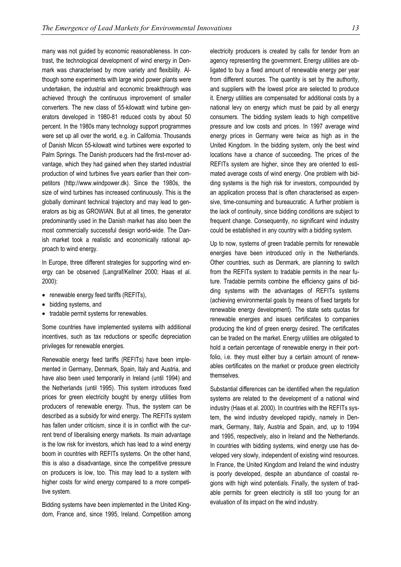many was not guided by economic reasonableness. In contrast, the technological development of wind energy in Denmark was characterised by more variety and flexibility. Although some experiments with large wind power plants were undertaken, the industrial and economic breakthrough was achieved through the continuous improvement of smaller converters. The new class of 55-kilowatt wind turbine generators developed in 1980-81 reduced costs by about 50 percent. In the 1980s many technology support programmes were set up all over the world, e.g. in California. Thousands of Danish Micon 55-kilowatt wind turbines were exported to Palm Springs. The Danish producers had the first-mover advantage, which they had gained when they started industrial production of wind turbines five years earlier than their competitors (http://www.windpower.dk). Since the 1980s, the size of wind turbines has increased continuously. This is the globally dominant technical trajectory and may lead to generators as big as GROWIAN. But at all times, the generator predominantly used in the Danish market has also been the most commercially successful design world-wide. The Danish market took a realistic and economically rational approach to wind energy.

In Europe, three different strategies for supporting wind energy can be observed (Langraf/Kellner 2000; Haas et al. 2000):

- renewable energy feed tariffs (REFITs),
- bidding systems, and
- tradable permit systems for renewables.

Some countries have implemented systems with additional incentives, such as tax reductions or specific depreciation privileges for renewable energies.

Renewable energy feed tariffs (REFITs) have been implemented in Germany, Denmark, Spain, Italy and Austria, and have also been used temporarily in Ireland (until 1994) and the Netherlands (until 1995). This system introduces fixed prices for green electricity bought by energy utilities from producers of renewable energy. Thus, the system can be described as a subsidy for wind energy. The REFITs system has fallen under criticism, since it is in conflict with the current trend of liberalising energy markets. Its main advantage is the low risk for investors, which has lead to a wind energy boom in countries with REFITs systems. On the other hand, this is also a disadvantage, since the competitive pressure on producers is low, too. This may lead to a system with higher costs for wind energy compared to a more competitive system.

Bidding systems have been implemented in the United Kingdom, France and, since 1995, Ireland. Competition among electricity producers is created by calls for tender from an agency representing the government. Energy utilities are obligated to buy a fixed amount of renewable energy per year from different sources. The quantity is set by the authority, and suppliers with the lowest price are selected to produce it. Energy utilities are compensated for additional costs by a national levy on energy which must be paid by all energy consumers. The bidding system leads to high competitive pressure and low costs and prices. In 1997 average wind energy prices in Germany were twice as high as in the United Kingdom. In the bidding system, only the best wind locations have a chance of succeeding. The prices of the REFITs system are higher, since they are oriented to estimated average costs of wind energy. One problem with bidding systems is the high risk for investors, compounded by an application process that is often characterised as expensive, time-consuming and bureaucratic. A further problem is the lack of continuity, since bidding conditions are subject to frequent change. Consequently, no significant wind industry could be established in any country with a bidding system.

Up to now, systems of green tradable permits for renewable energies have been introduced only in the Netherlands. Other countries, such as Denmark, are planning to switch from the REFITs system to tradable permits in the near future. Tradable permits combine the efficiency gains of bidding systems with the advantages of REFITs systems (achieving environmental goals by means of fixed targets for renewable energy development). The state sets quotas for renewable energies and issues certificates to companies producing the kind of green energy desired. The certificates can be traded on the market. Energy utilities are obligated to hold a certain percentage of renewable energy in their portfolio, i.e. they must either buy a certain amount of renewables certificates on the market or produce green electricity themselves.

Substantial differences can be identified when the regulation systems are related to the development of a national wind industry (Haas et al. 2000). In countries with the REFITs system, the wind industry developed rapidly, namely in Denmark, Germany, Italy, Austria and Spain, and, up to 1994 and 1995, respectively, also in Ireland and the Netherlands. In countries with bidding systems, wind energy use has developed very slowly, independent of existing wind resources. In France, the United Kingdom and Ireland the wind industry is poorly developed, despite an abundance of coastal regions with high wind potentials. Finally, the system of tradable permits for green electricity is still too young for an evaluation of its impact on the wind industry.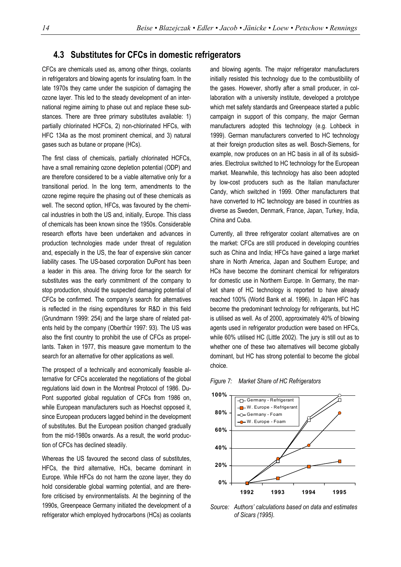## <span id="page-17-0"></span>**4.3 Substitutes for CFCs in domestic refrigerators**

CFCs are chemicals used as, among other things, coolants in refrigerators and blowing agents for insulating foam. In the late 1970s they came under the suspicion of damaging the ozone layer. This led to the steady development of an international regime aiming to phase out and replace these substances. There are three primary substitutes available: 1) partially chlorinated HCFCs, 2) non-chlorinated HFCs, with HFC 134a as the most prominent chemical, and 3) natural gases such as butane or propane (HCs).

The first class of chemicals, partially chlorinated HCFCs, have a small remaining ozone depletion potential (ODP) and are therefore considered to be a viable alternative only for a transitional period. In the long term, amendments to the ozone regime require the phasing out of these chemicals as well. The second option, HFCs, was favoured by the chemical industries in both the US and, initially, Europe. This class of chemicals has been known since the 1950s. Considerable research efforts have been undertaken and advances in production technologies made under threat of regulation and, especially in the US, the fear of expensive skin cancer liability cases. The US-based corporation DuPont has been a leader in this area. The driving force for the search for substitutes was the early commitment of the company to stop production, should the suspected damaging potential of CFCs be confirmed. The company's search for alternatives is reflected in the rising expenditures for R&D in this field (Grundmann 1999: 254) and the large share of related patents held by the company (Oberthür 1997: 93). The US was also the first country to prohibit the use of CFCs as propellants. Taken in 1977, this measure gave momentum to the search for an alternative for other applications as well.

The prospect of a technically and economically feasible alternative for CFCs accelerated the negotiations of the global regulations laid down in the Montreal Protocol of 1986. Du-Pont supported global regulation of CFCs from 1986 on, while European manufacturers such as Hoechst opposed it, since European producers lagged behind in the development of substitutes. But the European position changed gradually from the mid-1980s onwards. As a result, the world production of CFCs has declined steadily.

Whereas the US favoured the second class of substitutes, HFCs, the third alternative, HCs, became dominant in Europe. While HFCs do not harm the ozone layer, they do hold considerable global warming potential, and are therefore criticised by environmentalists. At the beginning of the 1990s, Greenpeace Germany initiated the development of a refrigerator which employed hydrocarbons (HCs) as coolants

and blowing agents. The major refrigerator manufacturers initially resisted this technology due to the combustibility of the gases. However, shortly after a small producer, in collaboration with a university institute, developed a prototype which met safety standards and Greenpeace started a public campaign in support of this company, the major German manufacturers adopted this technology (e.g. Lohbeck in 1999). German manufacturers converted to HC technology at their foreign production sites as well. Bosch-Siemens, for example, now produces on an HC basis in all of its subsidiaries. Electrolux switched to HC technology for the European market. Meanwhile, this technology has also been adopted by low-cost producers such as the Italian manufacturer Candy, which switched in 1999. Other manufacturers that have converted to HC technology are based in countries as diverse as Sweden, Denmark, France, Japan, Turkey, India, China and Cuba.

Currently, all three refrigerator coolant alternatives are on the market: CFCs are still produced in developing countries such as China and India; HFCs have gained a large market share in North America, Japan and Southern Europe; and HCs have become the dominant chemical for refrigerators for domestic use in Northern Europe. In Germany, the market share of HC technology is reported to have already reached 100% (World Bank et al. 1996). In Japan HFC has become the predominant technology for refrigerants, but HC is utilised as well. As of 2000, approximately 40% of blowing agents used in refrigerator production were based on HFCs, while 60% utilised HC (Little 2002). The jury is still out as to whether one of these two alternatives will become globally dominant, but HC has strong potential to become the global choice.

*Figure 7: Market Share of HC Refrigerators* 



*Source: Authors' calculations based on data and estimates of Sicars (1995).*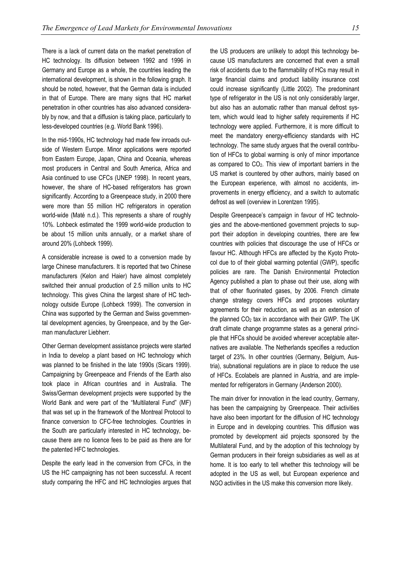There is a lack of current data on the market penetration of HC technology. Its diffusion between 1992 and 1996 in Germany and Europe as a whole, the countries leading the international development, is shown in the following graph. It should be noted, however, that the German data is included in that of Europe. There are many signs that HC market penetration in other countries has also advanced considerably by now, and that a diffusion is taking place, particularly to less-developed countries (e.g. World Bank 1996).

In the mid-1990s, HC technology had made few inroads outside of Western Europe. Minor applications were reported from Eastern Europe, Japan, China and Oceania, whereas most producers in Central and South America, Africa and Asia continued to use CFCs (UNEP 1998). In recent years, however, the share of HC-based refrigerators has grown significantly. According to a Greenpeace study, in 2000 there were more than 55 million HC refrigerators in operation world-wide (Maté n.d.). This represents a share of roughly 10%. Lohbeck estimated the 1999 world-wide production to be about 15 million units annually, or a market share of around 20% (Lohbeck 1999).

A considerable increase is owed to a conversion made by large Chinese manufacturers. It is reported that two Chinese manufacturers (Kelon and Haier) have almost completely switched their annual production of 2.5 million units to HC technology. This gives China the largest share of HC technology outside Europe (Lohbeck 1999). The conversion in China was supported by the German and Swiss governmental development agencies, by Greenpeace, and by the German manufacturer Liebherr.

Other German development assistance projects were started in India to develop a plant based on HC technology which was planned to be finished in the late 1990s (Sicars 1999). Campaigning by Greenpeace and Friends of the Earth also took place in African countries and in Australia. The Swiss/German development projects were supported by the World Bank and were part of the "Multilateral Fund" (MF) that was set up in the framework of the Montreal Protocol to finance conversion to CFC-free technologies. Countries in the South are particularly interested in HC technology, because there are no licence fees to be paid as there are for the patented HFC technologies.

Despite the early lead in the conversion from CFCs, in the US the HC campaigning has not been successful. A recent study comparing the HFC and HC technologies argues that the US producers are unlikely to adopt this technology because US manufacturers are concerned that even a small risk of accidents due to the flammability of HCs may result in large financial claims and product liability insurance cost could increase significantly (Little 2002). The predominant type of refrigerator in the US is not only considerably larger, but also has an automatic rather than manual defrost system, which would lead to higher safety requirements if HC technology were applied. Furthermore, it is more difficult to meet the mandatory energy-efficiency standards with HC technology. The same study argues that the overall contribution of HFCs to global warming is only of minor importance as compared to CO2. This view of important barriers in the US market is countered by other authors, mainly based on the European experience, with almost no accidents, improvements in energy efficiency, and a switch to automatic defrost as well (overview in Lorentzen 1995).

Despite Greenpeace's campaign in favour of HC technologies and the above-mentioned government projects to support their adoption in developing countries, there are few countries with policies that discourage the use of HFCs or favour HC. Although HFCs are affected by the Kyoto Protocol due to of their global warming potential (GWP), specific policies are rare. The Danish Environmental Protection Agency published a plan to phase out their use, along with that of other fluorinated gases, by 2006. French climate change strategy covers HFCs and proposes voluntary agreements for their reduction, as well as an extension of the planned  $CO<sub>2</sub>$  tax in accordance with their GWP. The UK draft climate change programme states as a general principle that HFCs should be avoided wherever acceptable alternatives are available. The Netherlands specifies a reduction target of 23%. In other countries (Germany, Belgium, Austria), subnational regulations are in place to reduce the use of HFCs. Ecolabels are planned in Austria, and are implemented for refrigerators in Germany (Anderson 2000).

The main driver for innovation in the lead country, Germany, has been the campaigning by Greenpeace. Their activities have also been important for the diffusion of HC technology in Europe and in developing countries. This diffusion was promoted by development aid projects sponsored by the Multilateral Fund, and by the adoption of this technology by German producers in their foreign subsidiaries as well as at home. It is too early to tell whether this technology will be adopted in the US as well, but European experience and NGO activities in the US make this conversion more likely.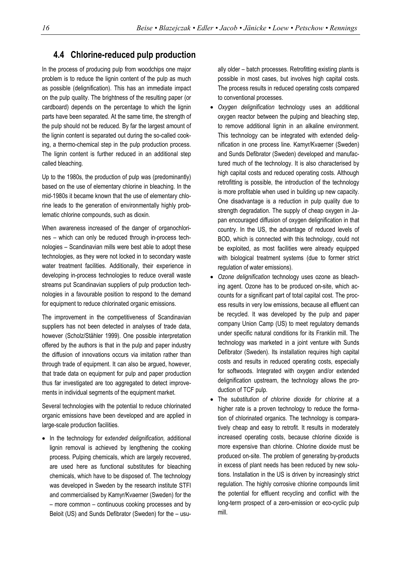## <span id="page-19-0"></span>**4.4 Chlorine-reduced pulp production**

In the process of producing pulp from woodchips one major problem is to reduce the lignin content of the pulp as much as possible (delignification). This has an immediate impact on the pulp quality. The brightness of the resulting paper (or cardboard) depends on the percentage to which the lignin parts have been separated. At the same time, the strength of the pulp should not be reduced. By far the largest amount of the lignin content is separated out during the so-called cooking, a thermo-chemical step in the pulp production process. The lignin content is further reduced in an additional step called bleaching.

Up to the 1980s, the production of pulp was (predominantly) based on the use of elementary chlorine in bleaching. In the mid-1980s it became known that the use of elementary chlorine leads to the generation of environmentally highly problematic chlorine compounds, such as dioxin.

When awareness increased of the danger of organochlorines – which can only be reduced through in-process technologies – Scandinavian mills were best able to adopt these technologies, as they were not locked in to secondary waste water treatment facilities. Additionally, their experience in developing in-process technologies to reduce overall waste streams put Scandinavian suppliers of pulp production technologies in a favourable position to respond to the demand for equipment to reduce chlorinated organic emissions.

The improvement in the competitiveness of Scandinavian suppliers has not been detected in analyses of trade data, however (Scholz/Stähler 1999). One possible interpretation offered by the authors is that in the pulp and paper industry the diffusion of innovations occurs via imitation rather than through trade of equipment. It can also be argued, however, that trade data on equipment for pulp and paper production thus far investigated are too aggregated to detect improvements in individual segments of the equipment market.

Several technologies with the potential to reduce chlorinated organic emissions have been developed and are applied in large-scale production facilities.

• In the technology for e*xtended delignification,* additional lignin removal is achieved by lengthening the cooking process. Pulping chemicals, which are largely recovered, are used here as functional substitutes for bleaching chemicals, which have to be disposed of. The technology was developed in Sweden by the research institute STFI and commercialised by Kamyr/Kvaerner (Sweden) for the – more common – continuous cooking processes and by Beloit (US) and Sunds Defibrator (Sweden) for the – usually older – batch processes. Retrofitting existing plants is possible in most cases, but involves high capital costs. The process results in reduced operating costs compared to conventional processes.

- *Oxygen delignification* technology uses an additional oxygen reactor between the pulping and bleaching step, to remove additional lignin in an alkaline environment. This technology can be integrated with extended delignification in one process line. Kamyr/Kvaerner (Sweden) and Sunds Defibrator (Sweden) developed and manufactured much of the technology. It is also characterised by high capital costs and reduced operating costs. Although retrofitting is possible, the introduction of the technology is more profitable when used in building up new capacity. One disadvantage is a reduction in pulp quality due to strength degradation. The supply of cheap oxygen in Japan encouraged diffusion of oxygen delignification in that country. In the US, the advantage of reduced levels of BOD, which is connected with this technology, could not be exploited, as most facilities were already equipped with biological treatment systems (due to former strict regulation of water emissions).
- *Ozone delignification* technology uses ozone as bleaching agent. Ozone has to be produced on-site, which accounts for a significant part of total capital cost. The process results in very low emissions, because all effluent can be recycled. It was developed by the pulp and paper company Union Camp (US) to meet regulatory demands under specific natural conditions for its Franklin mill. The technology was marketed in a joint venture with Sunds Defibrator (Sweden). Its installation requires high capital costs and results in reduced operating costs, especially for softwoods. Integrated with oxygen and/or extended delignification upstream, the technology allows the production of TCF pulp.
- The s*ubstitution of chlorine dioxide for chlorine* at a higher rate is a proven technology to reduce the formation of chlorinated organics. The technology is comparatively cheap and easy to retrofit. It results in moderately increased operating costs, because chlorine dioxide is more expensive than chlorine. Chlorine dioxide must be produced on-site. The problem of generating by-products in excess of plant needs has been reduced by new solutions. Installation in the US is driven by increasingly strict regulation. The highly corrosive chlorine compounds limit the potential for effluent recycling and conflict with the long-term prospect of a zero-emission or eco-cyclic pulp mill.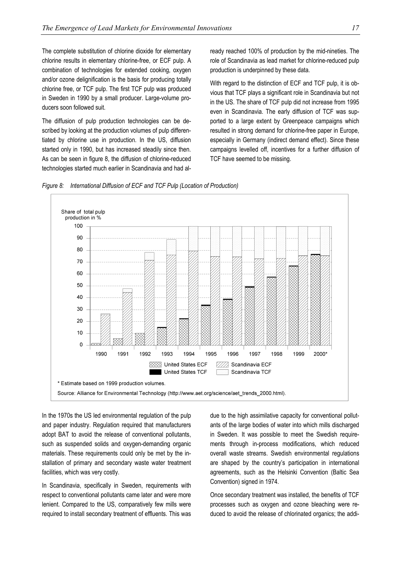<span id="page-20-0"></span>The complete substitution of chlorine dioxide for elementary chlorine results in elementary chlorine-free, or ECF pulp. A combination of technologies for extended cooking, oxygen and/or ozone delignification is the basis for producing totally chlorine free, or TCF pulp. The first TCF pulp was produced in Sweden in 1990 by a small producer. Large-volume producers soon followed suit.

The diffusion of pulp production technologies can be described by looking at the production volumes of pulp differentiated by chlorine use in production. In the US, diffusion started only in 1990, but has increased steadily since then. As can be seen in figure 8, the diffusion of chlorine-reduced technologies started much earlier in Scandinavia and had already reached 100% of production by the mid-nineties. The role of Scandinavia as lead market for chlorine-reduced pulp production is underpinned by these data.

With regard to the distinction of ECF and TCF pulp, it is obvious that TCF plays a significant role in Scandinavia but not in the US. The share of TCF pulp did not increase from 1995 even in Scandinavia. The early diffusion of TCF was supported to a large extent by Greenpeace campaigns which resulted in strong demand for chlorine-free paper in Europe, especially in Germany (indirect demand effect). Since these campaigns levelled off, incentives for a further diffusion of TCF have seemed to be missing.

![](_page_20_Figure_5.jpeg)

![](_page_20_Figure_6.jpeg)

In the 1970s the US led environmental regulation of the pulp and paper industry. Regulation required that manufacturers adopt BAT to avoid the release of conventional pollutants, such as suspended solids and oxygen-demanding organic materials. These requirements could only be met by the installation of primary and secondary waste water treatment facilities, which was very costly.

In Scandinavia, specifically in Sweden, requirements with respect to conventional pollutants came later and were more lenient. Compared to the US, comparatively few mills were required to install secondary treatment of effluents. This was due to the high assimilative capacity for conventional pollutants of the large bodies of water into which mills discharged in Sweden. It was possible to meet the Swedish requirements through in-process modifications, which reduced overall waste streams. Swedish environmental regulations are shaped by the country's participation in international agreements, such as the Helsinki Convention (Baltic Sea Convention) signed in 1974.

Once secondary treatment was installed, the benefits of TCF processes such as oxygen and ozone bleaching were reduced to avoid the release of chlorinated organics; the addi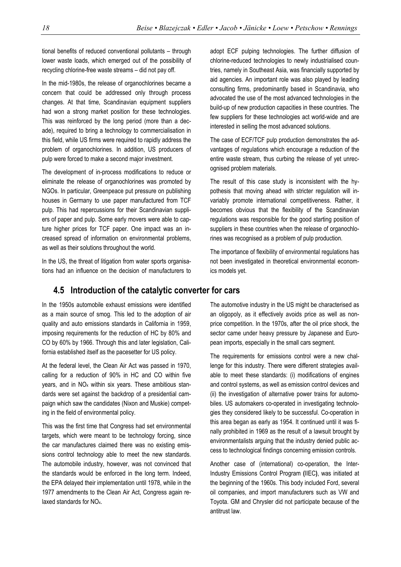<span id="page-21-0"></span>tional benefits of reduced conventional pollutants – through lower waste loads, which emerged out of the possibility of recycling chlorine-free waste streams – did not pay off.

In the mid-1980s, the release of organochlorines became a concern that could be addressed only through process changes. At that time, Scandinavian equipment suppliers had won a strong market position for these technologies. This was reinforced by the long period (more than a decade), required to bring a technology to commercialisation in this field, while US firms were required to rapidly address the problem of organochlorines. In addition, US producers of pulp were forced to make a second major investment.

The development of in-process modifications to reduce or eliminate the release of organochlorines was promoted by NGOs. In particular, Greenpeace put pressure on publishing houses in Germany to use paper manufactured from TCF pulp. This had repercussions for their Scandinavian suppliers of paper and pulp. Some early movers were able to capture higher prices for TCF paper. One impact was an increased spread of information on environmental problems, as well as their solutions throughout the world.

In the US, the threat of litigation from water sports organisations had an influence on the decision of manufacturers to adopt ECF pulping technologies. The further diffusion of chlorine-reduced technologies to newly industrialised countries, namely in Southeast Asia, was financially supported by aid agencies. An important role was also played by leading consulting firms, predominantly based in Scandinavia, who advocated the use of the most advanced technologies in the build-up of new production capacities in these countries. The few suppliers for these technologies act world-wide and are interested in selling the most advanced solutions.

The case of ECF/TCF pulp production demonstrates the advantages of regulations which encourage a reduction of the entire waste stream, thus curbing the release of yet unrecognised problem materials.

The result of this case study is inconsistent with the hypothesis that moving ahead with stricter regulation will invariably promote international competitiveness. Rather, it becomes obvious that the flexibility of the Scandinavian regulations was responsible for the good starting position of suppliers in these countries when the release of organochlorines was recognised as a problem of pulp production.

The importance of flexibility of environmental regulations has not been investigated in theoretical environmental economics models yet.

## **4.5 Introduction of the catalytic converter for cars**

In the 1950s automobile exhaust emissions were identified as a main source of smog. This led to the adoption of air quality and auto emissions standards in California in 1959, imposing requirements for the reduction of HC by 80% and CO by 60% by 1966. Through this and later legislation, California established itself as the pacesetter for US policy.

At the federal level, the Clean Air Act was passed in 1970, calling for a reduction of 90% in HC and CO within five years, and in  $NO<sub>x</sub>$  within six years. These ambitious standards were set against the backdrop of a presidential campaign which saw the candidates (Nixon and Muskie) competing in the field of environmental policy.

This was the first time that Congress had set environmental targets, which were meant to be technology forcing, since the car manufactures claimed there was no existing emissions control technology able to meet the new standards. The automobile industry, however, was not convinced that the standards would be enforced in the long term. Indeed, the EPA delayed their implementation until 1978, while in the 1977 amendments to the Clean Air Act, Congress again relaxed standards for NOx.

The automotive industry in the US might be characterised as an oligopoly, as it effectively avoids price as well as nonprice competition. In the 1970s, after the oil price shock, the sector came under heavy pressure by Japanese and European imports, especially in the small cars segment.

The requirements for emissions control were a new challenge for this industry. There were different strategies available to meet these standards: (i) modifications of engines and control systems, as well as emission control devices and (ii) the investigation of alternative power trains for automobiles. US automakers co-operated in investigating technologies they considered likely to be successful. Co-operation in this area began as early as 1954. It continued until it was finally prohibited in 1969 as the result of a lawsuit brought by environmentalists arguing that the industry denied public access to technological findings concerning emission controls.

Another case of (international) co-operation, the Inter-Industry Emissions Control Program **(**IIEC**)**, was initiated at the beginning of the 1960s. This body included Ford, several oil companies, and import manufacturers such as VW and Toyota. GM and Chrysler did not participate because of the antitrust law.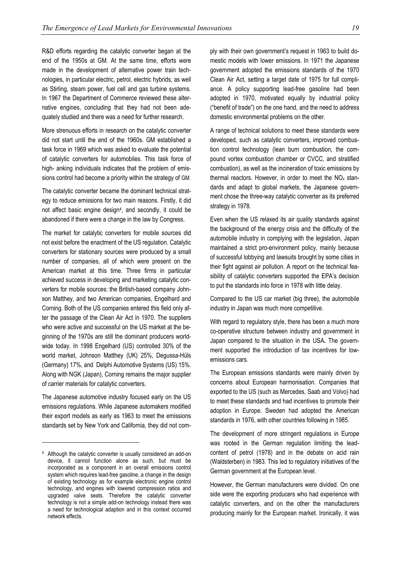R&D efforts regarding the catalytic converter began at the end of the 1950s at GM. At the same time, efforts were made in the development of alternative power train technologies, in particular electric, petrol, electric hybrids, as well as Stirling, steam power, fuel cell and gas turbine systems. In 1967 the Department of Commerce reviewed these alternative engines, concluding that they had not been adequately studied and there was a need for further research.

More strenuous efforts in research on the catalytic converter did not start until the end of the 1960s. GM established a task force in 1969 which was asked to evaluate the potential of catalytic converters for automobiles. This task force of high- anking individuals indicates that the problem of emissions control had become a priority within the strategy of GM.

The catalytic converter became the dominant technical strategy to reduce emissions for two main reasons. Firstly, it did not affect basic engine design[4,](#page-22-0) and secondly, it could be abandoned if there were a change in the law by Congress.

The market for catalytic converters for mobile sources did not exist before the enactment of the US regulation. Catalytic converters for stationary sources were produced by a small number of companies, all of which were present on the American market at this time. Three firms in particular achieved success in developing and marketing catalytic converters for mobile sources: the British-based company Johnson Matthey, and two American companies, Engelhard and Corning. Both of the US companies entered this field only after the passage of the Clean Air Act in 1970. The suppliers who were active and successful on the US market at the beginning of the 1970s are still the dominant producers worldwide today. In 1998 Engelhard (US) controlled 30% of the world market, Johnson Matthey (UK) 25%, Degussa-Hüls (Germany) 17%, and Delphi Automotive Systems (US) 15%. Along with NGK (Japan), Corning remains the major supplier of carrier materials for catalytic converters.

The Japanese automotive industry focused early on the US emissions regulations. While Japanese automakers modified their export models as early as 1963 to meet the emissions standards set by New York and California, they did not com-

 $\overline{a}$ 

ply with their own government's request in 1963 to build domestic models with lower emissions. In 1971 the Japanese government adopted the emissions standards of the 1970 Clean Air Act, setting a target date of 1975 for full compliance. A policy supporting lead-free gasoline had been adopted in 1970, motivated equally by industrial policy ("benefit of trade") on the one hand, and the need to address domestic environmental problems on the other.

A range of technical solutions to meet these standards were developed, such as catalytic converters, improved combustion control technology (lean burn combustion, the compound vortex combustion chamber or CVCC, and stratified combustion), as well as the incineration of toxic emissions by thermal reactors. However, in order to meet the  $NO<sub>x</sub>$  standards and adapt to global markets, the Japanese government chose the three-way catalytic converter as its preferred strategy in 1978.

Even when the US relaxed its air quality standards against the background of the energy crisis and the difficulty of the automobile industry in complying with the legislation, Japan maintained a strict pro-environment policy, mainly because of successful lobbying and lawsuits brought by some cities in their fight against air pollution. A report on the technical feasibility of catalytic converters supported the EPA's decision to put the standards into force in 1978 with little delay.

Compared to the US car market (big three), the automobile industry in Japan was much more competitive.

With regard to regulatory style, there has been a much more co-operative structure between industry and government in Japan compared to the situation in the USA**.** The government supported the introduction of tax incentives for lowemissions cars.

The European emissions standards were mainly driven by concerns about European harmonisation. Companies that exported to the US (such as Mercedes, Saab and Volvo) had to meet these standards and had incentives to promote their adoption in Europe. Sweden had adopted the American standards in 1976, with other countries following in 1985.

The development of more stringent regulations in Europe was rooted in the German regulation limiting the leadcontent of petrol (1978) and in the debate on acid rain (Waldsterben) in 1983. This led to regulatory initiatives of the German government at the European level.

However, the German manufacturers were divided. On one side were the exporting producers who had experience with catalytic converters, and on the other the manufacturers producing mainly for the European market. Ironically, it was

<span id="page-22-0"></span><sup>4</sup> Although the catalytic converter is usually considered an add-on device, it cannot function alone as such, but must be incorporated as a component in an overall emissions control system which requires lead-free gasoline, a change in the design of existing technology as for example electronic engine control technology, and engines with lowered compression ratios and upgraded valve seats. Therefore the catalytic converter technology is not a simple add-on technology instead there was a need for technological adaption and in this context occurred network effects.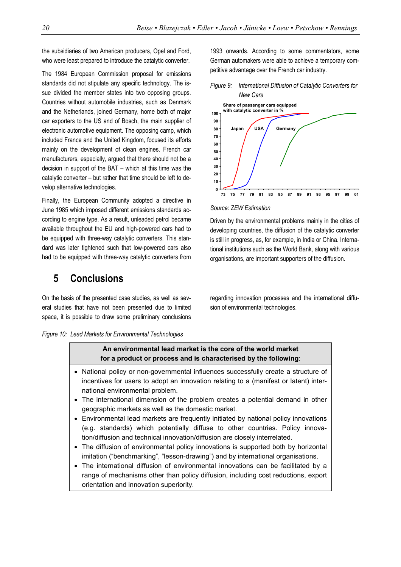<span id="page-23-0"></span>the subsidiaries of two American producers, Opel and Ford, who were least prepared to introduce the catalytic converter.

The 1984 European Commission proposal for emissions standards did not stipulate any specific technology. The issue divided the member states into two opposing groups. Countries without automobile industries, such as Denmark and the Netherlands, joined Germany, home both of major car exporters to the US and of Bosch, the main supplier of electronic automotive equipment. The opposing camp, which included France and the United Kingdom, focused its efforts mainly on the development of clean engines. French car manufacturers, especially, argued that there should not be a decision in support of the BAT – which at this time was the catalytic converter – but rather that time should be left to develop alternative technologies.

Finally, the European Community adopted a directive in June 1985 which imposed different emissions standards according to engine type. As a result, unleaded petrol became available throughout the EU and high-powered cars had to be equipped with three-way catalytic converters. This standard was later tightened such that low-powered cars also had to be equipped with three-way catalytic converters from

## **5 Conclusions**

On the basis of the presented case studies, as well as several studies that have not been presented due to limited space, it is possible to draw some preliminary conclusions

1993 onwards. According to some commentators, some German automakers were able to achieve a temporary competitive advantage over the French car industry.

#### *Figure 9: International Diffusion of Catalytic Converters for New Cars*

![](_page_23_Figure_8.jpeg)

#### *Source: ZEW Estimation*

Driven by the environmental problems mainly in the cities of developing countries, the diffusion of the catalytic converter is still in progress, as, for example, in India or China. International institutions such as the World Bank, along with various organisations, are important supporters of the diffusion.

regarding innovation processes and the international diffusion of environmental technologies.

#### *Figure 10: Lead Markets for Environmental Technologies*

![](_page_23_Figure_13.jpeg)

- The diffusion of environmental policy innovations is supported both by horizontal imitation ("benchmarking", "lesson-drawing") and by international organisations.
- The international diffusion of environmental innovations can be facilitated by a range of mechanisms other than policy diffusion, including cost reductions, export orientation and innovation superiority.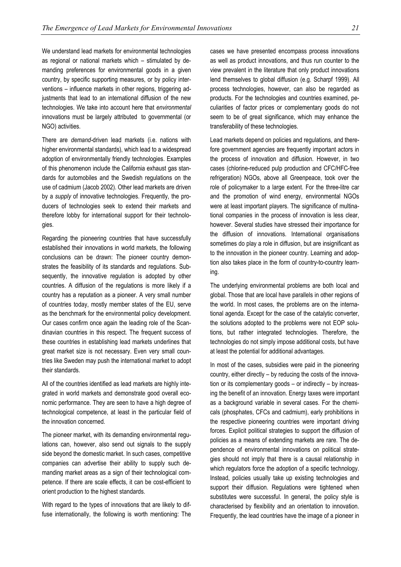We understand lead markets for environmental technologies as regional or national markets which – stimulated by demanding preferences for environmental goods in a given country, by specific supporting measures, or by policy interventions – influence markets in other regions, triggering adjustments that lead to an international diffusion of the new technologies. We take into account here that *environmental*  innovations must be largely attributed to governmental (or NGO) activities.

There are *demand-*driven lead markets (i.e. nations with higher environmental standards), which lead to a widespread adoption of environmentally friendly technologies. Examples of this phenomenon include the California exhaust gas standards for automobiles and the Swedish regulations on the use of cadmium (Jacob 2002). Other lead markets are driven by a *supply* of innovative technologies. Frequently, the producers of technologies seek to extend their markets and therefore lobby for international support for their technologies.

Regarding the pioneering countries that have successfully established their innovations in world markets, the following conclusions can be drawn: The pioneer country demonstrates the feasibility of its standards and regulations. Subsequently, the innovative regulation is adopted by other countries. A diffusion of the regulations is more likely if a country has a reputation as a pioneer. A very small number of countries today, mostly member states of the EU, serve as the benchmark for the environmental policy development. Our cases confirm once again the leading role of the Scandinavian countries in this respect. The frequent success of these countries in establishing lead markets underlines that great market size is not necessary. Even very small countries like Sweden may push the international market to adopt their standards.

All of the countries identified as lead markets are highly integrated in world markets and demonstrate good overall economic performance. They are seen to have a high degree of technological competence, at least in the particular field of the innovation concerned.

The pioneer market, with its demanding environmental regulations can, however, also send out signals to the supply side beyond the domestic market. In such cases, competitive companies can advertise their ability to supply such demanding market areas as a sign of their technological competence. If there are scale effects, it can be cost-efficient to orient production to the highest standards.

With regard to the types of innovations that are likely to diffuse internationally, the following is worth mentioning: The cases we have presented encompass process innovations as well as product innovations, and thus run counter to the view prevalent in the literature that only product innovations lend themselves to global diffusion (e.g. Scharpf 1999). All process technologies, however, can also be regarded as products. For the technologies and countries examined, peculiarities of factor prices or complementary goods do not seem to be of great significance, which may enhance the transferability of these technologies.

Lead markets depend on policies and regulations, and therefore government agencies are frequently important actors in the process of innovation and diffusion. However, in two cases (chlorine-reduced pulp production and CFC/HFC-free refrigeration) NGOs, above all Greenpeace, took over the role of policymaker to a large extent. For the three-litre car and the promotion of wind energy, environmental NGOs were at least important players. The significance of multinational companies in the process of innovation is less clear, however. Several studies have stressed their importance for the diffusion of innovations. International organisations sometimes do play a role in diffusion, but are insignificant as to the innovation in the pioneer country. Learning and adoption also takes place in the form of country-to-country learning.

The underlying environmental problems are both local and global. Those that are local have parallels in other regions of the world. In most cases, the problems are on the international agenda. Except for the case of the catalytic converter, the solutions adopted to the problems were not EOP solutions, but rather integrated technologies. Therefore, the technologies do not simply impose additional costs, but have at least the potential for additional advantages.

In most of the cases, subsidies were paid in the pioneering country, either directly – by reducing the costs of the innovation or its complementary goods – or indirectly – by increasing the benefit of an innovation. Energy taxes were important as a background variable in several cases. For the chemicals (phosphates, CFCs and cadmium), early prohibitions in the respective pioneering countries were important driving forces. Explicit political strategies to support the diffusion of policies as a means of extending markets are rare. The dependence of environmental innovations on political strategies should not imply that there is a causal relationship in which regulators force the adoption of a specific technology. Instead, policies usually take up existing technologies and support their diffusion. Regulations were tightened when substitutes were successful. In general, the policy style is characterised by flexibility and an orientation to innovation. Frequently, the lead countries have the image of a pioneer in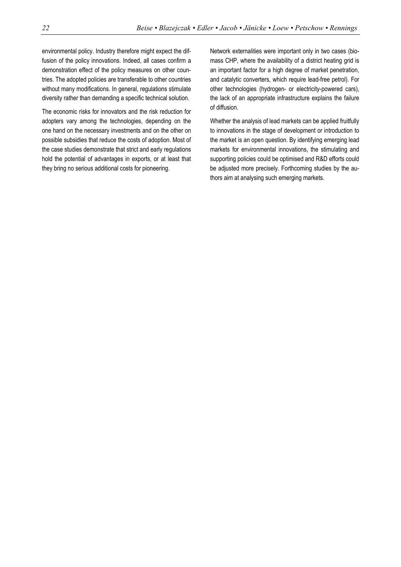environmental policy. Industry therefore might expect the diffusion of the policy innovations. Indeed, all cases confirm a demonstration effect of the policy measures on other countries. The adopted policies are transferable to other countries without many modifications. In general, regulations stimulate diversity rather than demanding a specific technical solution.

The economic risks for innovators and the risk reduction for adopters vary among the technologies, depending on the one hand on the necessary investments and on the other on possible subsidies that reduce the costs of adoption. Most of the case studies demonstrate that strict and early regulations hold the potential of advantages in exports, or at least that they bring no serious additional costs for pioneering.

Network externalities were important only in two cases (biomass CHP, where the availability of a district heating grid is an important factor for a high degree of market penetration, and catalytic converters, which require lead-free petrol). For other technologies (hydrogen- or electricity-powered cars), the lack of an appropriate infrastructure explains the failure of diffusion.

Whether the analysis of lead markets can be applied fruitfully to innovations in the stage of development or introduction to the market is an open question. By identifying emerging lead markets for environmental innovations, the stimulating and supporting policies could be optimised and R&D efforts could be adjusted more precisely. Forthcoming studies by the authors aim at analysing such emerging markets.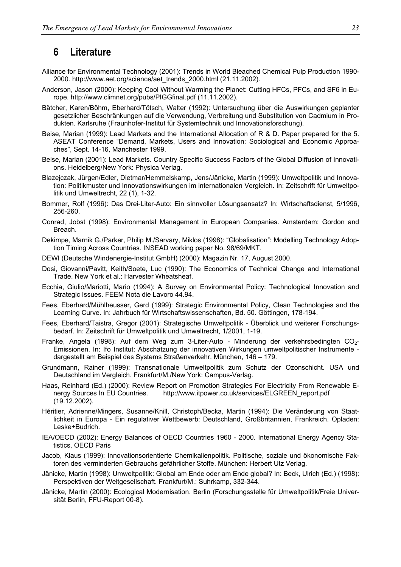## <span id="page-26-0"></span>**6 Literature**

- Alliance for Environmental Technology (2001): Trends in World Bleached Chemical Pulp Production 1990- 2000. http://www.aet.org/science/aet\_trends\_2000.html (21.11.2002).
- Anderson, Jason (2000): Keeping Cool Without Warming the Planet: Cutting HFCs, PFCs, and SF6 in Europe. http://www.climnet.org/pubs/PIGGfinal.pdf (11.11.2002).
- Bätcher, Karen/Böhm, Eberhard/Tötsch, Walter (1992): Untersuchung über die Auswirkungen geplanter gesetzlicher Beschränkungen auf die Verwendung, Verbreitung und Substitution von Cadmium in Produkten. Karlsruhe (Fraunhofer-Institut für Systemtechnik und Innovationsforschung).
- Beise, Marian (1999): Lead Markets and the International Allocation of R & D. Paper prepared for the 5. ASEAT Conference "Demand, Markets, Users and Innovation: Sociological and Economic Approaches", Sept. 14-16, Manchester 1999.
- Beise, Marian (2001): Lead Markets. Country Specific Success Factors of the Global Diffusion of Innovations. Heidelberg/New York: Physica Verlag.
- Blazejczak, Jürgen/Edler, Dietmar/Hemmelskamp, Jens/Jänicke, Martin (1999): Umweltpolitik und Innovation: Politikmuster und Innovationswirkungen im internationalen Vergleich. In: Zeitschrift für Umweltpolitik und Umweltrecht, 22 (1), 1-32.
- Bommer, Rolf (1996): Das Drei-Liter-Auto: Ein sinnvoller Lösungsansatz? In: Wirtschaftsdienst, 5/1996, 256-260.
- Conrad, Jobst (1998): Environmental Management in European Companies. Amsterdam: Gordon and Breach.
- Dekimpe, Marnik G./Parker, Philip M./Sarvary, Miklos (1998): "Globalisation": Modelling Technology Adoption Timing Across Countries. INSEAD working paper No. 98/69/MKT.
- DEWI (Deutsche Windenergie-Institut GmbH) (2000): Magazin Nr. 17, August 2000.
- Dosi, Giovanni/Pavitt, Keith/Soete, Luc (1990): The Economics of Technical Change and International Trade. New York et al.: Harvester Wheatsheaf.
- Ecchia, Giulio/Mariotti, Mario (1994): A Survey on Environmental Policy: Technological Innovation and Strategic Issues. FEEM Nota die Lavoro 44.94.
- Fees, Eberhard/Mühlheusser, Gerd (1999): Strategic Environmental Policy, Clean Technologies and the Learning Curve. In: Jahrbuch für Wirtschaftswissenschaften, Bd. 50. Göttingen, 178-194.
- Fees, Eberhard/Taistra, Gregor (2001): Strategische Umweltpolitik Überblick und weiterer Forschungsbedarf. In: Zeitschrift für Umweltpolitik und Umweltrecht, 1/2001, 1-19.
- Franke, Angela (1998): Auf dem Weg zum 3-Liter-Auto Minderung der verkehrsbedingten CO<sub>2</sub>-Emissionen. In: Ifo Institut: Abschätzung der innovativen Wirkungen umweltpolitischer Instrumente dargestellt am Beispiel des Systems Straßenverkehr. München, 146 – 179.
- Grundmann, Rainer (1999): Transnationale Umweltpolitik zum Schutz der Ozonschicht. USA und Deutschland im Vergleich. Frankfurt/M./New York: Campus-Verlag.
- Haas, Reinhard (Ed.) (2000): Review Report on Promotion Strategies For Electricity From Renewable Energy Sources In EU Countries. http://www.itpower.co.uk/services/ELGREEN\_report.pdf (19.12.2002).
- Héritier, Adrienne/Mingers, Susanne/Knill, Christoph/Becka, Martin (1994): Die Veränderung von Staatlichkeit in Europa - Ein regulativer Wettbewerb: Deutschland, Großbritannien, Frankreich. Opladen: Leske+Budrich.
- IEA/OECD (2002): Energy Balances of OECD Countries 1960 2000. International Energy Agency Statistics, OECD Paris
- Jacob, Klaus (1999): Innovationsorientierte Chemikalienpolitik. Politische, soziale und ökonomische Faktoren des verminderten Gebrauchs gefährlicher Stoffe. München: Herbert Utz Verlag.
- Jänicke, Martin (1998): Umweltpolitik: Global am Ende oder am Ende global? In: Beck, Ulrich (Ed.) (1998): Perspektiven der Weltgesellschaft. Frankfurt/M.: Suhrkamp, 332-344.
- Jänicke, Martin (2000): Ecological Modernisation. Berlin (Forschungsstelle für Umweltpolitik/Freie Universität Berlin, FFU-Report 00-8).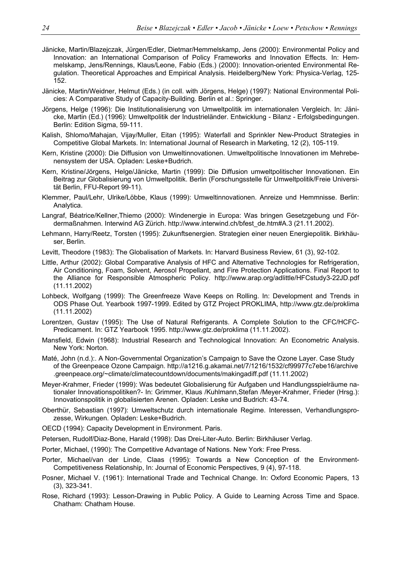- Jänicke, Martin/Blazejczak, Jürgen/Edler, Dietmar/Hemmelskamp, Jens (2000): Environmental Policy and Innovation: an International Comparison of Policy Frameworks and Innovation Effects. In: Hemmelskamp, Jens/Rennings, Klaus/Leone, Fabio (Eds.) (2000): Innovation-oriented Environmental Regulation. Theoretical Approaches and Empirical Analysis. Heidelberg/New York: Physica-Verlag, 125- 152.
- Jänicke, Martin/Weidner, Helmut (Eds.) (in coll. with Jörgens, Helge) (1997): National Environmental Policies: A Comparative Study of Capacity-Building. Berlin et al.: Springer.
- Jörgens, Helge (1996): Die Institutionalisierung von Umweltpolitik im internationalen Vergleich. In: Jänicke, Martin (Ed.) (1996): Umweltpolitik der Industrieländer. Entwicklung - Bilanz - Erfolgsbedingungen. Berlin: Edition Sigma, 59-111.
- Kalish, Shlomo/Mahajan, Vijay/Muller, Eitan (1995): Waterfall and Sprinkler New-Product Strategies in Competitive Global Markets. In: International Journal of Research in Marketing, 12 (2), 105-119.
- Kern, Kristine (2000): Die Diffusion von Umweltinnovationen. Umweltpolitische Innovationen im Mehrebenensystem der USA. Opladen: Leske+Budrich.
- Kern, Kristine/Jörgens, Helge/Jänicke, Martin (1999): Die Diffusion umweltpolitischer Innovationen. Ein Beitrag zur Globalisierung von Umweltpolitik. Berlin (Forschungsstelle für Umweltpolitik/Freie Universität Berlin, FFU-Report 99-11).
- Klemmer, Paul/Lehr, Ulrike/Löbbe, Klaus (1999): Umweltinnovationen. Anreize und Hemmnisse. Berlin: Analytica.
- Langraf, Béatrice/Kellner,Thiemo (2000): Windenergie in Europa: Was bringen Gesetzgebung und Fördermaßnahmen. Interwind AG Zürich. http://www.interwind.ch/bfest\_de.htm#A.3 (21.11.2002).
- Lehmann, Harry/Reetz, Torsten (1995): Zukunftsenergien. Strategien einer neuen Energiepolitik. Birkhäuser, Berlin.
- Levitt, Theodore (1983): The Globalisation of Markets. In: Harvard Business Review, 61 (3), 92-102.
- Little, Arthur (2002): Global Comparative Analysis of HFC and Alternative Technologies for Refrigeration, Air Conditioning, Foam, Solvent, Aerosol Propellant, and Fire Protection Applications. Final Report to the Alliance for Responsible Atmospheric Policy. http://www.arap.org/adlittle/HFCstudy3-22JD.pdf (11.11.2002)
- Lohbeck, Wolfgang (1999): The Greenfreeze Wave Keeps on Rolling. In: Development and Trends in ODS Phase Out. Yearbook 1997-1999. Edited by GTZ Project PROKLIMA, http://www.gtz.de/proklima (11.11.2002)
- Lorentzen, Gustav (1995): The Use of Natural Refrigerants. A Complete Solution to the CFC/HCFC-Predicament. In: GTZ Yearbook 1995. http://www.gtz.de/proklima (11.11.2002).
- Mansfield, Edwin (1968): Industrial Research and Technological Innovation: An Econometric Analysis. New York: Norton.
- Maté, John (n.d.):. A Non-Governmental Organization's Campaign to Save the Ozone Layer. Case Study of the Greenpeace Ozone Campaign. http://a1216.g.akamai.net/7/1216/1532/cf99977c7ebe16/archive .greenpeace.org/~climate/climatecountdown/documents/makingadiff.pdf (11.11.2002)
- Meyer-Krahmer, Frieder (1999): Was bedeutet Globalisierung für Aufgaben und Handlungsspielräume nationaler Innovationspolitiken?- In: Grimmer, Klaus /Kuhlmann,Stefan /Meyer-Krahmer, Frieder (Hrsg.): Innovationspolitik in globalisierten Arenen. Opladen: Leske und Budrich: 43-74.
- Oberthür, Sebastian (1997): Umweltschutz durch internationale Regime. Interessen, Verhandlungsprozesse, Wirkungen. Opladen: Leske+Budrich.
- OECD (1994): Capacity Development in Environment. Paris.
- Petersen, Rudolf/Diaz-Bone, Harald (1998): Das Drei-Liter-Auto. Berlin: Birkhäuser Verlag.
- Porter, Michael, (1990): The Competitive Advantage of Nations. New York: Free Press.
- Porter, Michael/van der Linde, Claas (1995): Towards a New Conception of the Environment-Competitiveness Relationship, In: Journal of Economic Perspectives, 9 (4), 97-118.
- Posner, Michael V. (1961): International Trade and Technical Change. In: Oxford Economic Papers, 13 (3), 323-341.
- Rose, Richard (1993): Lesson-Drawing in Public Policy. A Guide to Learning Across Time and Space. Chatham: Chatham House.